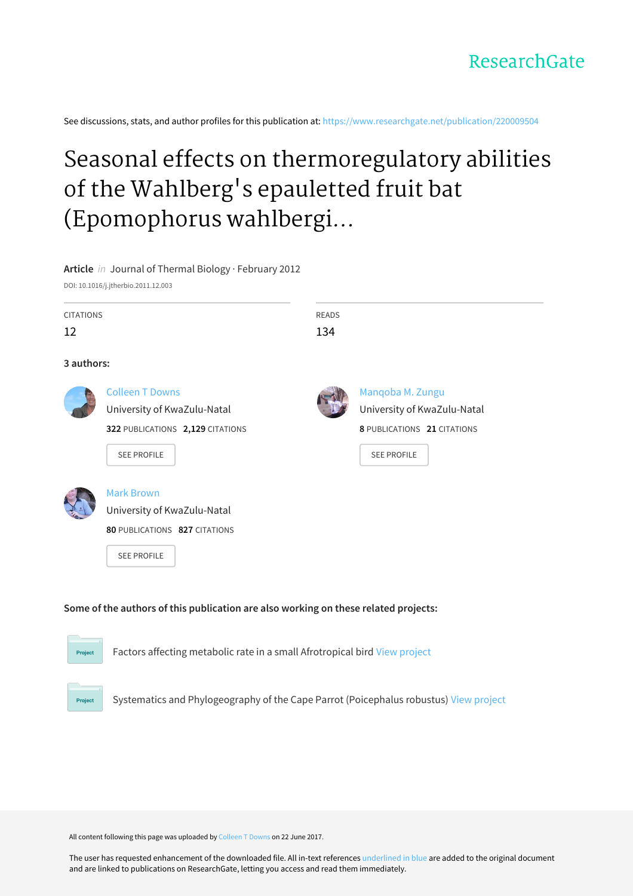See discussions, stats, and author profiles for this publication at: [https://www.researchgate.net/publication/220009504](https://www.researchgate.net/publication/220009504_Seasonal_effects_on_thermoregulatory_abilities_of_the_Wahlberg%27s_epauletted_fruit_bat_Epomophorus_wahlbergi_in_KwaZulu-Natal_South_Africa?enrichId=rgreq-161cf6c49f7f939f30c06d5b9c72fdae-XXX&enrichSource=Y292ZXJQYWdlOzIyMDAwOTUwNDtBUzo5ODg1NDU2OTUxMjk2NEAxNDAwNTgwMTc0NDE0&el=1_x_2&_esc=publicationCoverPdf)

# Seasonal effects on thermoregulatory abilities of the Wahlberg's epauletted fruit bat (Epomophorus wahlbergi...

## **Article** in Journal of Thermal Biology · February 2012

DOI: 10.1016/j.jtherbio.2011.12.003

| <b>CITATIONS</b>                 | <b>READS</b>                |
|----------------------------------|-----------------------------|
| 12                               | 134                         |
| 3 authors:                       |                             |
| <b>Colleen T Downs</b>           | Manqoba M. Zungu            |
| University of KwaZulu-Natal      | University of KwaZulu-Natal |
| 322 PUBLICATIONS 2,129 CITATIONS | 8 PUBLICATIONS 21 CITATIONS |
| <b>SEE PROFILE</b>               | <b>SEE PROFILE</b>          |
| <b>Mark Brown</b>                |                             |
| University of KwaZulu-Natal      |                             |
| 80 PUBLICATIONS 827 CITATIONS    |                             |
|                                  |                             |

# **Some of the authors of this publication are also working on these related projects:**



Project

Factors affecting metabolic rate in a small Afrotropical bird View [project](https://www.researchgate.net/project/Factors-affecting-metabolic-rate-in-a-small-Afrotropical-bird?enrichId=rgreq-161cf6c49f7f939f30c06d5b9c72fdae-XXX&enrichSource=Y292ZXJQYWdlOzIyMDAwOTUwNDtBUzo5ODg1NDU2OTUxMjk2NEAxNDAwNTgwMTc0NDE0&el=1_x_9&_esc=publicationCoverPdf)

Systematics and Phylogeography of the Cape Parrot (Poicephalus robustus) View [project](https://www.researchgate.net/project/Systematics-and-Phylogeography-of-the-Cape-Parrot-Poicephalus-robustus?enrichId=rgreq-161cf6c49f7f939f30c06d5b9c72fdae-XXX&enrichSource=Y292ZXJQYWdlOzIyMDAwOTUwNDtBUzo5ODg1NDU2OTUxMjk2NEAxNDAwNTgwMTc0NDE0&el=1_x_9&_esc=publicationCoverPdf)

All content following this page was uploaded by [Colleen](https://www.researchgate.net/profile/Colleen_Downs?enrichId=rgreq-161cf6c49f7f939f30c06d5b9c72fdae-XXX&enrichSource=Y292ZXJQYWdlOzIyMDAwOTUwNDtBUzo5ODg1NDU2OTUxMjk2NEAxNDAwNTgwMTc0NDE0&el=1_x_10&_esc=publicationCoverPdf) T Downs on 22 June 2017.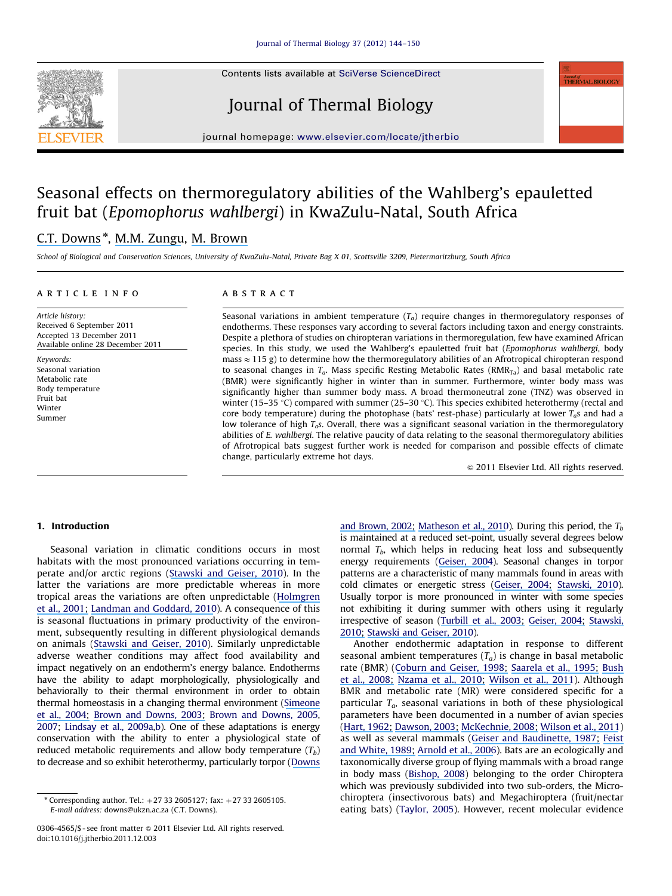Contents lists available at [SciVerse ScienceDirect](www.elsevier.com/locate/jtherbio)





Journal of Thermal Biology

journal homepage: <www.elsevier.com/locate/jtherbio>

# Seasonal effects on thermoregulatory abilities of the Wahlberg's epauletted fruit bat (Epomophorus wahlbergi) in KwaZulu-Natal, South Africa

# [C.T. Downs](https://www.researchgate.net/profile/Colleen_Downs?el=1_x_100&enrichId=rgreq-161cf6c49f7f939f30c06d5b9c72fdae-XXX&enrichSource=Y292ZXJQYWdlOzIyMDAwOTUwNDtBUzo5ODg1NDU2OTUxMjk2NEAxNDAwNTgwMTc0NDE0)<sup>\*</sup>, [M.M. Zungu](https://www.researchgate.net/profile/Manqoba_Zungu?el=1_x_100&enrichId=rgreq-161cf6c49f7f939f30c06d5b9c72fdae-XXX&enrichSource=Y292ZXJQYWdlOzIyMDAwOTUwNDtBUzo5ODg1NDU2OTUxMjk2NEAxNDAwNTgwMTc0NDE0), [M. Brown](https://www.researchgate.net/profile/Mark_Brown13?el=1_x_100&enrichId=rgreq-161cf6c49f7f939f30c06d5b9c72fdae-XXX&enrichSource=Y292ZXJQYWdlOzIyMDAwOTUwNDtBUzo5ODg1NDU2OTUxMjk2NEAxNDAwNTgwMTc0NDE0)

School of Biological and Conservation Sciences, University of KwaZulu-Natal, Private Bag X 01, Scottsville 3209, Pietermaritzburg, South Africa

#### article info

# **ABSTRACT**

Article history: Received 6 September 2011 Accepted 13 December 2011 Available online 28 December 2011

Keywords: Seasonal variation Metabolic rate Body temperature Fruit bat Winter Summer

Seasonal variations in ambient temperature  $(T_a)$  require changes in thermoregulatory responses of endotherms. These responses vary according to several factors including taxon and energy constraints. Despite a plethora of studies on chiropteran variations in thermoregulation, few have examined African species. In this study, we used the Wahlberg's epauletted fruit bat (Epomophorus wahlbergi, body mass  $\approx$  115 g) to determine how the thermoregulatory abilities of an Afrotropical chiropteran respond to seasonal changes in  $T_a$ . Mass specific Resting Metabolic Rates (RMR<sub>Ta</sub>) and basal metabolic rate (BMR) were significantly higher in winter than in summer. Furthermore, winter body mass was significantly higher than summer body mass. A broad thermoneutral zone (TNZ) was observed in winter (15–35 °C) compared with summer (25–30 °C). This species exhibited heterothermy (rectal and core body temperature) during the photophase (bats' rest-phase) particularly at lower  $T_a$ s and had a low tolerance of high  $T<sub>g</sub>$ s. Overall, there was a significant seasonal variation in the thermoregulatory abilities of E. wahlbergi. The relative paucity of data relating to the seasonal thermoregulatory abilities of Afrotropical bats suggest further work is needed for comparison and possible effects of climate change, particularly extreme hot days.

 $© 2011 Elsevier Ltd. All rights reserved.$ 

### 1. Introduction

Seasonal variation in climatic conditions occurs in most habitats with the most pronounced variations occurring in temperate and/or arctic regions [\(Stawski and Geiser, 2010\)](#page-7-0). In the latter the variations are more predictable whereas in more tropical areas the variations are often unpredictable ([Holmgren](#page-6-0) [et al., 200](#page-6-0)[1;](https://www.researchgate.net/publication/12163822_El_Nino_Effects_on_the_Dynamics_of_Terrestrial_Ecosystems?el=1_x_8&enrichId=rgreq-161cf6c49f7f939f30c06d5b9c72fdae-XXX&enrichSource=Y292ZXJQYWdlOzIyMDAwOTUwNDtBUzo5ODg1NDU2OTUxMjk2NEAxNDAwNTgwMTc0NDE0) [Landman and Goddard, 2010](#page-6-0)). A consequence of this is seasonal fluctuations in primary productivity of the environment, subsequently resulting in different physiological demands on animals [\(Stawski and Geiser, 2010\)](#page-7-0). Similarly unpredictable adverse weather conditions may affect food availability and impact negatively on an endotherm's energy balance. Endotherms have the ability to adapt morphologically, physiologically and behaviorally to their thermal environment in order to obtain thermal homeostasis in a changing thermal environment [\(Simeone](#page-7-0) [et](https://www.researchgate.net/publication/225771187_Seasonal_variations_in_the_behavioural_thermoregulation_of_roosting_Humboldt_penguins_Spheniscus_humboldti_in_north-central_Chile?el=1_x_8&enrichId=rgreq-161cf6c49f7f939f30c06d5b9c72fdae-XXX&enrichSource=Y292ZXJQYWdlOzIyMDAwOTUwNDtBUzo5ODg1NDU2OTUxMjk2NEAxNDAwNTgwMTc0NDE0)[al.,](https://www.researchgate.net/publication/225771187_Seasonal_variations_in_the_behavioural_thermoregulation_of_roosting_Humboldt_penguins_Spheniscus_humboldti_in_north-central_Chile?el=1_x_8&enrichId=rgreq-161cf6c49f7f939f30c06d5b9c72fdae-XXX&enrichSource=Y292ZXJQYWdlOzIyMDAwOTUwNDtBUzo5ODg1NDU2OTUxMjk2NEAxNDAwNTgwMTc0NDE0)[2004;](https://www.researchgate.net/publication/225771187_Seasonal_variations_in_the_behavioural_thermoregulation_of_roosting_Humboldt_penguins_Spheniscus_humboldti_in_north-central_Chile?el=1_x_8&enrichId=rgreq-161cf6c49f7f939f30c06d5b9c72fdae-XXX&enrichSource=Y292ZXJQYWdlOzIyMDAwOTUwNDtBUzo5ODg1NDU2OTUxMjk2NEAxNDAwNTgwMTc0NDE0) [Brown](https://www.researchgate.net/publication/52012111_The_role_of_shading_behaviour_in_the_thermoregulation_of_breeding_Crowned_Plovers_Vanellus_coronatus?el=1_x_8&enrichId=rgreq-161cf6c49f7f939f30c06d5b9c72fdae-XXX&enrichSource=Y292ZXJQYWdlOzIyMDAwOTUwNDtBUzo5ODg1NDU2OTUxMjk2NEAxNDAwNTgwMTc0NDE0)[and](https://www.researchgate.net/publication/52012111_The_role_of_shading_behaviour_in_the_thermoregulation_of_breeding_Crowned_Plovers_Vanellus_coronatus?el=1_x_8&enrichId=rgreq-161cf6c49f7f939f30c06d5b9c72fdae-XXX&enrichSource=Y292ZXJQYWdlOzIyMDAwOTUwNDtBUzo5ODg1NDU2OTUxMjk2NEAxNDAwNTgwMTc0NDE0)[Downs,](https://www.researchgate.net/publication/52012111_The_role_of_shading_behaviour_in_the_thermoregulation_of_breeding_Crowned_Plovers_Vanellus_coronatus?el=1_x_8&enrichId=rgreq-161cf6c49f7f939f30c06d5b9c72fdae-XXX&enrichSource=Y292ZXJQYWdlOzIyMDAwOTUwNDtBUzo5ODg1NDU2OTUxMjk2NEAxNDAwNTgwMTc0NDE0)[2003;](https://www.researchgate.net/publication/52012111_The_role_of_shading_behaviour_in_the_thermoregulation_of_breeding_Crowned_Plovers_Vanellus_coronatus?el=1_x_8&enrichId=rgreq-161cf6c49f7f939f30c06d5b9c72fdae-XXX&enrichSource=Y292ZXJQYWdlOzIyMDAwOTUwNDtBUzo5ODg1NDU2OTUxMjk2NEAxNDAwNTgwMTc0NDE0) [Brown and Downs, 2005,](#page-6-0) [2007](#page-6-0); [Lindsay et al., 2009a,b](#page-6-0)). One of these adaptations is energy conservation with the ability to enter a physiological state of reduced metabolic requirements and allow body temperature  $(T_b)$ to decrease and so exhibit heterothermy, particularly torpor [\(Downs](#page-6-0) [and Brown, 200](#page-6-0)[2;](https://www.researchgate.net/publication/220009449_Nocturnal_Heterothermy_and_Torpor_in_the_Malachite_Sunbird_Nectarinia_famosa?el=1_x_8&enrichId=rgreq-161cf6c49f7f939f30c06d5b9c72fdae-XXX&enrichSource=Y292ZXJQYWdlOzIyMDAwOTUwNDtBUzo5ODg1NDU2OTUxMjk2NEAxNDAwNTgwMTc0NDE0) [Matheson et al., 2010\)](#page-7-0). During this period, the  $T_b$ is maintained at a reduced set-point, usually several degrees below normal  $T_b$ , which helps in reducing heat loss and subsequently energy requirements [\(Geiser,](https://www.researchgate.net/publication/8687298_Metabolic_Rate_and_Body_Temperature_Reduction_During_Hibernation_and_Daily_Torpor?el=1_x_8&enrichId=rgreq-161cf6c49f7f939f30c06d5b9c72fdae-XXX&enrichSource=Y292ZXJQYWdlOzIyMDAwOTUwNDtBUzo5ODg1NDU2OTUxMjk2NEAxNDAwNTgwMTc0NDE0)[200](https://www.researchgate.net/publication/8687298_Metabolic_Rate_and_Body_Temperature_Reduction_During_Hibernation_and_Daily_Torpor?el=1_x_8&enrichId=rgreq-161cf6c49f7f939f30c06d5b9c72fdae-XXX&enrichSource=Y292ZXJQYWdlOzIyMDAwOTUwNDtBUzo5ODg1NDU2OTUxMjk2NEAxNDAwNTgwMTc0NDE0)[4\)](#page-6-0). Seasonal changes in torpor patterns are a characteristic of many mammals found in areas with cold climates or energetic stress [\(G](#page-6-0)[eiser,](https://www.researchgate.net/publication/8687298_Metabolic_Rate_and_Body_Temperature_Reduction_During_Hibernation_and_Daily_Torpor?el=1_x_8&enrichId=rgreq-161cf6c49f7f939f30c06d5b9c72fdae-XXX&enrichSource=Y292ZXJQYWdlOzIyMDAwOTUwNDtBUzo5ODg1NDU2OTUxMjk2NEAxNDAwNTgwMTc0NDE0)[2004;](https://www.researchgate.net/publication/8687298_Metabolic_Rate_and_Body_Temperature_Reduction_During_Hibernation_and_Daily_Torpor?el=1_x_8&enrichId=rgreq-161cf6c49f7f939f30c06d5b9c72fdae-XXX&enrichSource=Y292ZXJQYWdlOzIyMDAwOTUwNDtBUzo5ODg1NDU2OTUxMjk2NEAxNDAwNTgwMTc0NDE0) [Stawski,](https://www.researchgate.net/publication/222054625_Torpor_during_the_reproductive_season_in_a_free-ranging_subtropical_bat_Nyctophilus_bifax?el=1_x_8&enrichId=rgreq-161cf6c49f7f939f30c06d5b9c72fdae-XXX&enrichSource=Y292ZXJQYWdlOzIyMDAwOTUwNDtBUzo5ODg1NDU2OTUxMjk2NEAxNDAwNTgwMTc0NDE0)[201](https://www.researchgate.net/publication/222054625_Torpor_during_the_reproductive_season_in_a_free-ranging_subtropical_bat_Nyctophilus_bifax?el=1_x_8&enrichId=rgreq-161cf6c49f7f939f30c06d5b9c72fdae-XXX&enrichSource=Y292ZXJQYWdlOzIyMDAwOTUwNDtBUzo5ODg1NDU2OTUxMjk2NEAxNDAwNTgwMTc0NDE0)[0\)](#page-7-0). Usually torpor is more pronounced in winter with some species not exhibiting it during summer with others using it regularly irrespective of season ([Turbill et al., 200](#page-7-0)[3;](https://www.researchgate.net/publication/222397350_Summer_torpor_in_a_free-ranging_bat_from_subtropical_Australia?el=1_x_8&enrichId=rgreq-161cf6c49f7f939f30c06d5b9c72fdae-XXX&enrichSource=Y292ZXJQYWdlOzIyMDAwOTUwNDtBUzo5ODg1NDU2OTUxMjk2NEAxNDAwNTgwMTc0NDE0) [Geiser, 2004](#page-6-0)[;](https://www.researchgate.net/publication/8687298_Metabolic_Rate_and_Body_Temperature_Reduction_During_Hibernation_and_Daily_Torpor?el=1_x_8&enrichId=rgreq-161cf6c49f7f939f30c06d5b9c72fdae-XXX&enrichSource=Y292ZXJQYWdlOzIyMDAwOTUwNDtBUzo5ODg1NDU2OTUxMjk2NEAxNDAwNTgwMTc0NDE0) [Stawski,](#page-7-0) [201](#page-7-0)[0;](https://www.researchgate.net/publication/222054625_Torpor_during_the_reproductive_season_in_a_free-ranging_subtropical_bat_Nyctophilus_bifax?el=1_x_8&enrichId=rgreq-161cf6c49f7f939f30c06d5b9c72fdae-XXX&enrichSource=Y292ZXJQYWdlOzIyMDAwOTUwNDtBUzo5ODg1NDU2OTUxMjk2NEAxNDAwNTgwMTc0NDE0) [Stawski and Geiser, 2010\)](#page-7-0).

Another endothermic adaptation in response to different seasonal ambient temperatures  $(T_a)$  is change in basal metabolic rate (BMR) [\(C](#page-6-0)[oburn](https://www.researchgate.net/publication/225479538_Seasonal_changes_in_energetics_and_torpor_patterns_in_the_subtropical_blossom-bat_Syconycteris_australis_Megachiroptera?el=1_x_8&enrichId=rgreq-161cf6c49f7f939f30c06d5b9c72fdae-XXX&enrichSource=Y292ZXJQYWdlOzIyMDAwOTUwNDtBUzo5ODg1NDU2OTUxMjk2NEAxNDAwNTgwMTc0NDE0)[and](https://www.researchgate.net/publication/225479538_Seasonal_changes_in_energetics_and_torpor_patterns_in_the_subtropical_blossom-bat_Syconycteris_australis_Megachiroptera?el=1_x_8&enrichId=rgreq-161cf6c49f7f939f30c06d5b9c72fdae-XXX&enrichSource=Y292ZXJQYWdlOzIyMDAwOTUwNDtBUzo5ODg1NDU2OTUxMjk2NEAxNDAwNTgwMTc0NDE0)[Geiser,](https://www.researchgate.net/publication/225479538_Seasonal_changes_in_energetics_and_torpor_patterns_in_the_subtropical_blossom-bat_Syconycteris_australis_Megachiroptera?el=1_x_8&enrichId=rgreq-161cf6c49f7f939f30c06d5b9c72fdae-XXX&enrichSource=Y292ZXJQYWdlOzIyMDAwOTUwNDtBUzo5ODg1NDU2OTUxMjk2NEAxNDAwNTgwMTc0NDE0)[1998;](https://www.researchgate.net/publication/225479538_Seasonal_changes_in_energetics_and_torpor_patterns_in_the_subtropical_blossom-bat_Syconycteris_australis_Megachiroptera?el=1_x_8&enrichId=rgreq-161cf6c49f7f939f30c06d5b9c72fdae-XXX&enrichSource=Y292ZXJQYWdlOzIyMDAwOTUwNDtBUzo5ODg1NDU2OTUxMjk2NEAxNDAwNTgwMTc0NDE0) [Saarela](https://www.researchgate.net/publication/225911721_Daily_rhythm_of_oxygen_consumption_and_thermoregulatory_responses_in_some_European_winter-_or_summer-acclimatized_finches_at_different_ambient_temperatures?el=1_x_8&enrichId=rgreq-161cf6c49f7f939f30c06d5b9c72fdae-XXX&enrichSource=Y292ZXJQYWdlOzIyMDAwOTUwNDtBUzo5ODg1NDU2OTUxMjk2NEAxNDAwNTgwMTc0NDE0)[et](https://www.researchgate.net/publication/225911721_Daily_rhythm_of_oxygen_consumption_and_thermoregulatory_responses_in_some_European_winter-_or_summer-acclimatized_finches_at_different_ambient_temperatures?el=1_x_8&enrichId=rgreq-161cf6c49f7f939f30c06d5b9c72fdae-XXX&enrichSource=Y292ZXJQYWdlOzIyMDAwOTUwNDtBUzo5ODg1NDU2OTUxMjk2NEAxNDAwNTgwMTc0NDE0)[al.,](https://www.researchgate.net/publication/225911721_Daily_rhythm_of_oxygen_consumption_and_thermoregulatory_responses_in_some_European_winter-_or_summer-acclimatized_finches_at_different_ambient_temperatures?el=1_x_8&enrichId=rgreq-161cf6c49f7f939f30c06d5b9c72fdae-XXX&enrichSource=Y292ZXJQYWdlOzIyMDAwOTUwNDtBUzo5ODg1NDU2OTUxMjk2NEAxNDAwNTgwMTc0NDE0)[1995;](https://www.researchgate.net/publication/225911721_Daily_rhythm_of_oxygen_consumption_and_thermoregulatory_responses_in_some_European_winter-_or_summer-acclimatized_finches_at_different_ambient_temperatures?el=1_x_8&enrichId=rgreq-161cf6c49f7f939f30c06d5b9c72fdae-XXX&enrichSource=Y292ZXJQYWdlOzIyMDAwOTUwNDtBUzo5ODg1NDU2OTUxMjk2NEAxNDAwNTgwMTc0NDE0) [Bush](https://www.researchgate.net/publication/52003707_Seasonal_effects_on_thermoregulatory_responses_of_the_Rock_Kestrel_Falco_rupicolis?el=1_x_8&enrichId=rgreq-161cf6c49f7f939f30c06d5b9c72fdae-XXX&enrichSource=Y292ZXJQYWdlOzIyMDAwOTUwNDtBUzo5ODg1NDU2OTUxMjk2NEAxNDAwNTgwMTc0NDE0) [et al., 200](#page-6-0)[8;](https://www.researchgate.net/publication/52003707_Seasonal_effects_on_thermoregulatory_responses_of_the_Rock_Kestrel_Falco_rupicolis?el=1_x_8&enrichId=rgreq-161cf6c49f7f939f30c06d5b9c72fdae-XXX&enrichSource=Y292ZXJQYWdlOzIyMDAwOTUwNDtBUzo5ODg1NDU2OTUxMjk2NEAxNDAwNTgwMTc0NDE0) [Nzama et al., 201](#page-7-0)[0;](https://www.researchgate.net/publication/52012171_Seasonal_variation_in_the_metabolism-temperature_relation_of_House_Sparrows_Passer_domesticus_in_KwaZulu-Natal_South_Africa?el=1_x_8&enrichId=rgreq-161cf6c49f7f939f30c06d5b9c72fdae-XXX&enrichSource=Y292ZXJQYWdlOzIyMDAwOTUwNDtBUzo5ODg1NDU2OTUxMjk2NEAxNDAwNTgwMTc0NDE0) [Wilson et al., 2011\)](#page-7-0). Although BMR and metabolic rate (MR) were considered specific for a particular  $T_a$ , seasonal variations in both of these physiological parameters have been documented in a number of avian species ([Hart, 196](#page-6-0)[2;](https://www.researchgate.net/publication/284669873_Seasonal_Acclimatization_in_Four_Species_of_Small_Wild_Birds?el=1_x_8&enrichId=rgreq-161cf6c49f7f939f30c06d5b9c72fdae-XXX&enrichSource=Y292ZXJQYWdlOzIyMDAwOTUwNDtBUzo5ODg1NDU2OTUxMjk2NEAxNDAwNTgwMTc0NDE0) [Dawson, 2003](#page-6-0)[;](https://www.researchgate.net/publication/240764865_Plasticity_in_avian_responses_to_thermal_challenges_-_An_essay_in_honor_of_Jacob_Marder?el=1_x_8&enrichId=rgreq-161cf6c49f7f939f30c06d5b9c72fdae-XXX&enrichSource=Y292ZXJQYWdlOzIyMDAwOTUwNDtBUzo5ODg1NDU2OTUxMjk2NEAxNDAwNTgwMTc0NDE0) [McKechnie, 200](#page-7-0)[8;](https://www.researchgate.net/publication/5889169_Phenotypic_flexibility_in_basal_metabolic_rate_and_the_changing_view_of_avian_physiological_diversity_A_review?el=1_x_8&enrichId=rgreq-161cf6c49f7f939f30c06d5b9c72fdae-XXX&enrichSource=Y292ZXJQYWdlOzIyMDAwOTUwNDtBUzo5ODg1NDU2OTUxMjk2NEAxNDAwNTgwMTc0NDE0) [Wilson et al., 2011\)](#page-7-0) as well as several mammals [\(G](#page-6-0)[eiser](https://www.researchgate.net/publication/225937438_Seasonality_of_torpor_and_thermoregulation_in_three_dasyurid_marsupials?el=1_x_8&enrichId=rgreq-161cf6c49f7f939f30c06d5b9c72fdae-XXX&enrichSource=Y292ZXJQYWdlOzIyMDAwOTUwNDtBUzo5ODg1NDU2OTUxMjk2NEAxNDAwNTgwMTc0NDE0)[and](https://www.researchgate.net/publication/225937438_Seasonality_of_torpor_and_thermoregulation_in_three_dasyurid_marsupials?el=1_x_8&enrichId=rgreq-161cf6c49f7f939f30c06d5b9c72fdae-XXX&enrichSource=Y292ZXJQYWdlOzIyMDAwOTUwNDtBUzo5ODg1NDU2OTUxMjk2NEAxNDAwNTgwMTc0NDE0)[Baudinette,](https://www.researchgate.net/publication/225937438_Seasonality_of_torpor_and_thermoregulation_in_three_dasyurid_marsupials?el=1_x_8&enrichId=rgreq-161cf6c49f7f939f30c06d5b9c72fdae-XXX&enrichSource=Y292ZXJQYWdlOzIyMDAwOTUwNDtBUzo5ODg1NDU2OTUxMjk2NEAxNDAwNTgwMTc0NDE0)[1987;](https://www.researchgate.net/publication/225937438_Seasonality_of_torpor_and_thermoregulation_in_three_dasyurid_marsupials?el=1_x_8&enrichId=rgreq-161cf6c49f7f939f30c06d5b9c72fdae-XXX&enrichSource=Y292ZXJQYWdlOzIyMDAwOTUwNDtBUzo5ODg1NDU2OTUxMjk2NEAxNDAwNTgwMTc0NDE0) [Feist](https://www.researchgate.net/publication/279375060_Terrestrial_Mammals_in_Cold?el=1_x_8&enrichId=rgreq-161cf6c49f7f939f30c06d5b9c72fdae-XXX&enrichSource=Y292ZXJQYWdlOzIyMDAwOTUwNDtBUzo5ODg1NDU2OTUxMjk2NEAxNDAwNTgwMTc0NDE0) [and White, 198](#page-6-0)[9;](https://www.researchgate.net/publication/279375060_Terrestrial_Mammals_in_Cold?el=1_x_8&enrichId=rgreq-161cf6c49f7f939f30c06d5b9c72fdae-XXX&enrichSource=Y292ZXJQYWdlOzIyMDAwOTUwNDtBUzo5ODg1NDU2OTUxMjk2NEAxNDAwNTgwMTc0NDE0) [Arnold et al., 2006](#page-6-0)). Bats are an ecologically and taxonomically diverse group of flying mammals with a broad range in body mass [\(Bishop, 2008](#page-6-0)) belonging to the order Chiroptera which was previously subdivided into two sub-orders, the Microchiroptera (insectivorous bats) and Megachiroptera (fruit/nectar eating bats) [\(Taylor, 2005](#page-7-0)). However, recent molecular evidence

 $*$  Corresponding author. Tel.:  $+27$  33 2605127; fax:  $+27$  33 2605105. E-mail address: [downs@ukzn.ac.za \(C.T. Downs\).](mailto:downs@ukzn.ac.za)

<sup>0306-4565/\$ -</sup> see front matter  $\odot$  2011 Elsevier Ltd. All rights reserved. doi:[10.1016/j.jtherbio.2011.12.003](dx.doi.org/10.1016/j.jtherbio.2011.12.003)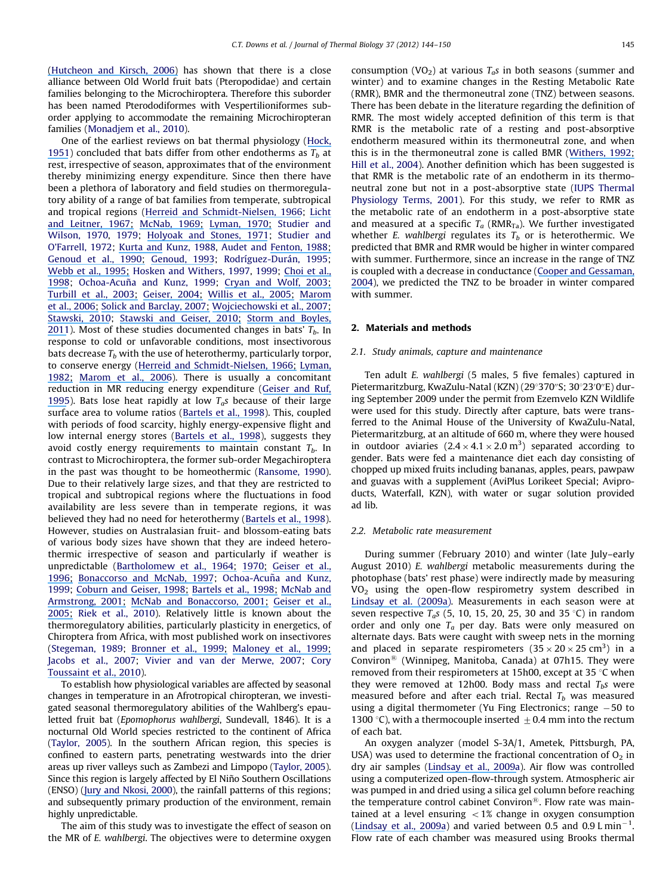[\(H](https://www.researchgate.net/publication/232690619_A_moveable_face_deconstructing_the_Microchiroptera_and_a_new_classification_of_extant_bats?el=1_x_8&enrichId=rgreq-161cf6c49f7f939f30c06d5b9c72fdae-XXX&enrichSource=Y292ZXJQYWdlOzIyMDAwOTUwNDtBUzo5ODg1NDU2OTUxMjk2NEAxNDAwNTgwMTc0NDE0)[utcheon and Kirsch, 2006](#page-6-0)[\)](https://www.researchgate.net/publication/232690619_A_moveable_face_deconstructing_the_Microchiroptera_and_a_new_classification_of_extant_bats?el=1_x_8&enrichId=rgreq-161cf6c49f7f939f30c06d5b9c72fdae-XXX&enrichSource=Y292ZXJQYWdlOzIyMDAwOTUwNDtBUzo5ODg1NDU2OTUxMjk2NEAxNDAwNTgwMTc0NDE0) has shown that there is a close alliance between Old World fruit bats (Pteropodidae) and certain families belonging to the Microchiroptera. Therefore this suborder has been named Pterododiformes with Vespertilioniformes suborder applying to accommodate the remaining Microchiropteran families ([Monadjem et al., 2010](#page-7-0)).

One of the earliest reviews on bat thermal physiology [\(Hock,](#page-6-0) [195](https://www.researchgate.net/publication/267222698_The_Metabolic_Rates_and_Body_Temperatures_of_Bats?el=1_x_8&enrichId=rgreq-161cf6c49f7f939f30c06d5b9c72fdae-XXX&enrichSource=Y292ZXJQYWdlOzIyMDAwOTUwNDtBUzo5ODg1NDU2OTUxMjk2NEAxNDAwNTgwMTc0NDE0)[1\)](#page-6-0) concluded that bats differ from other endotherms as  $T<sub>b</sub>$  at rest, irrespective of season, approximates that of the environment thereby minimizing energy expenditure. Since then there have been a plethora of laboratory and field studies on thermoregulatory ability of a range of bat families from temperate, subtropical and tropical regions ([Herreid and Schmidt-Nielsen, 1966](#page-6-0); [Licht](#page-6-0) [and Leitner, 1967](#page-6-0)[;](https://www.researchgate.net/publication/222368578_Physiological_responses_to_high_environmental_temperatures_in_three_species_of_microchiropteran_bats?el=1_x_8&enrichId=rgreq-161cf6c49f7f939f30c06d5b9c72fdae-XXX&enrichSource=Y292ZXJQYWdlOzIyMDAwOTUwNDtBUzo5ODg1NDU2OTUxMjk2NEAxNDAwNTgwMTc0NDE0) [McNab, 1969](#page-7-0)[;](https://www.researchgate.net/publication/17814758_The_economics_of_temperature_regulation_in_Neotropical_bats?el=1_x_8&enrichId=rgreq-161cf6c49f7f939f30c06d5b9c72fdae-XXX&enrichSource=Y292ZXJQYWdlOzIyMDAwOTUwNDtBUzo5ODg1NDU2OTUxMjk2NEAxNDAwNTgwMTc0NDE0) [Lyman, 197](#page-7-0)[0;](https://www.researchgate.net/publication/284703290_Thermoregulation_and_metabolism_in_bats?el=1_x_8&enrichId=rgreq-161cf6c49f7f939f30c06d5b9c72fdae-XXX&enrichSource=Y292ZXJQYWdlOzIyMDAwOTUwNDtBUzo5ODg1NDU2OTUxMjk2NEAxNDAwNTgwMTc0NDE0) [Studier and](#page-7-0) [Wilson, 1970,](#page-7-0) [1979](#page-7-0); [Holyoak and Stones, 1971](#page-6-0); [Studier and](#page-7-0) [O'Farrell, 1972](#page-7-0); [Kurta and Kunz, 1988](#page-6-0), [Audet and Fenton, 1988](#page-6-0)[;](https://www.researchgate.net/publication/284295702_Heterothermy_and_the_Use_of_Torpor_by_the_Bat_Eptesicus_fuscus_Chiroptera_Vespertilionidae_A_Field_Study?el=1_x_8&enrichId=rgreq-161cf6c49f7f939f30c06d5b9c72fdae-XXX&enrichSource=Y292ZXJQYWdlOzIyMDAwOTUwNDtBUzo5ODg1NDU2OTUxMjk2NEAxNDAwNTgwMTc0NDE0) [Genoud et al., 1990](#page-6-0)[;](https://www.researchgate.net/publication/229412997_Rate_of_metabolism_and_temperature_regulation_in_two_small_tropical_insectivorous_bats_Peropteryx_macrotis_and_Natalus_tumidirostris?el=1_x_8&enrichId=rgreq-161cf6c49f7f939f30c06d5b9c72fdae-XXX&enrichSource=Y292ZXJQYWdlOzIyMDAwOTUwNDtBUzo5ODg1NDU2OTUxMjk2NEAxNDAwNTgwMTc0NDE0) [Genoud, 1993](#page-6-0); Rodríguez-Durán, 1995; [Webb et al., 1995](#page-7-0)[;](https://www.researchgate.net/publication/228056683_Evaporative_water_loss_in_two_sympatric_species_of_vespertilionid_bat_Plecotus_auritus_and_Myotis_daubentoni_Relation_to_foraging_mode_and_implications_for_roost_site_selection?el=1_x_8&enrichId=rgreq-161cf6c49f7f939f30c06d5b9c72fdae-XXX&enrichSource=Y292ZXJQYWdlOzIyMDAwOTUwNDtBUzo5ODg1NDU2OTUxMjk2NEAxNDAwNTgwMTc0NDE0) [Hosken and Withers, 1997,](#page-6-0) [1999](#page-6-0); [Choi et al.,](#page-6-0) [199](https://www.researchgate.net/publication/232853298_Metabolic_rate_and_thermolabile_properties_of_ognev)[8;](#page-6-0) Ochoa-Acuña and Kunz, 1999; [Cryan](https://www.researchgate.net/publication/10597964_Sex_differences_in_the_thermoregulation_and_evaporative_water_loss_of_a_heterothermic_bat_Lasiurus_cinereus_during_its_spring_migration?el=1_x_8&enrichId=rgreq-161cf6c49f7f939f30c06d5b9c72fdae-XXX&enrichSource=Y292ZXJQYWdlOzIyMDAwOTUwNDtBUzo5ODg1NDU2OTUxMjk2NEAxNDAwNTgwMTc0NDE0)[and](https://www.researchgate.net/publication/10597964_Sex_differences_in_the_thermoregulation_and_evaporative_water_loss_of_a_heterothermic_bat_Lasiurus_cinereus_during_its_spring_migration?el=1_x_8&enrichId=rgreq-161cf6c49f7f939f30c06d5b9c72fdae-XXX&enrichSource=Y292ZXJQYWdlOzIyMDAwOTUwNDtBUzo5ODg1NDU2OTUxMjk2NEAxNDAwNTgwMTc0NDE0) [Wolf,](https://www.researchgate.net/publication/10597964_Sex_differences_in_the_thermoregulation_and_evaporative_water_loss_of_a_heterothermic_bat_Lasiurus_cinereus_during_its_spring_migration?el=1_x_8&enrichId=rgreq-161cf6c49f7f939f30c06d5b9c72fdae-XXX&enrichSource=Y292ZXJQYWdlOzIyMDAwOTUwNDtBUzo5ODg1NDU2OTUxMjk2NEAxNDAwNTgwMTc0NDE0) [2003;](https://www.researchgate.net/publication/10597964_Sex_differences_in_the_thermoregulation_and_evaporative_water_loss_of_a_heterothermic_bat_Lasiurus_cinereus_during_its_spring_migration?el=1_x_8&enrichId=rgreq-161cf6c49f7f939f30c06d5b9c72fdae-XXX&enrichSource=Y292ZXJQYWdlOzIyMDAwOTUwNDtBUzo5ODg1NDU2OTUxMjk2NEAxNDAwNTgwMTc0NDE0) [Turbill et al., 200](#page-7-0)[3;](https://www.researchgate.net/publication/222397350_Summer_torpor_in_a_free-ranging_bat_from_subtropical_Australia?el=1_x_8&enrichId=rgreq-161cf6c49f7f939f30c06d5b9c72fdae-XXX&enrichSource=Y292ZXJQYWdlOzIyMDAwOTUwNDtBUzo5ODg1NDU2OTUxMjk2NEAxNDAwNTgwMTc0NDE0) [Geiser, 2004](#page-6-0)[;](https://www.researchgate.net/publication/8687298_Metabolic_Rate_and_Body_Temperature_Reduction_During_Hibernation_and_Daily_Torpor?el=1_x_8&enrichId=rgreq-161cf6c49f7f939f30c06d5b9c72fdae-XXX&enrichSource=Y292ZXJQYWdlOzIyMDAwOTUwNDtBUzo5ODg1NDU2OTUxMjk2NEAxNDAwNTgwMTc0NDE0) [Willis et al., 200](#page-7-0)[5;](https://www.researchgate.net/publication/236891748_Thermal_energetics_of_female_big_brown_bats_Eptesicus_fuscus?el=1_x_8&enrichId=rgreq-161cf6c49f7f939f30c06d5b9c72fdae-XXX&enrichSource=Y292ZXJQYWdlOzIyMDAwOTUwNDtBUzo5ODg1NDU2OTUxMjk2NEAxNDAwNTgwMTc0NDE0) [Marom](#page-7-0) [et](https://www.researchgate.net/publication/6861525_Energy_Metabolism_and_Evaporative_Water_Loss_in_the_European_Free-Tailed_Bat_and_Hemprich)[al.,](https://www.researchgate.net/publication/6861525_Energy_Metabolism_and_Evaporative_Water_Loss_in_the_European_Free-Tailed_Bat_and_Hemprich)[2006;](https://www.researchgate.net/publication/6861525_Energy_Metabolism_and_Evaporative_Water_Loss_in_the_European_Free-Tailed_Bat_and_Hemprich) [Solick](https://www.researchgate.net/publication/227524171_Geographic_variation_in_the_use_of_torpor_and_roosting_behaviour_of_female_western_long-eared_bats?el=1_x_8&enrichId=rgreq-161cf6c49f7f939f30c06d5b9c72fdae-XXX&enrichSource=Y292ZXJQYWdlOzIyMDAwOTUwNDtBUzo5ODg1NDU2OTUxMjk2NEAxNDAwNTgwMTc0NDE0)[and](https://www.researchgate.net/publication/227524171_Geographic_variation_in_the_use_of_torpor_and_roosting_behaviour_of_female_western_long-eared_bats?el=1_x_8&enrichId=rgreq-161cf6c49f7f939f30c06d5b9c72fdae-XXX&enrichSource=Y292ZXJQYWdlOzIyMDAwOTUwNDtBUzo5ODg1NDU2OTUxMjk2NEAxNDAwNTgwMTc0NDE0)[Barclay,](https://www.researchgate.net/publication/227524171_Geographic_variation_in_the_use_of_torpor_and_roosting_behaviour_of_female_western_long-eared_bats?el=1_x_8&enrichId=rgreq-161cf6c49f7f939f30c06d5b9c72fdae-XXX&enrichSource=Y292ZXJQYWdlOzIyMDAwOTUwNDtBUzo5ODg1NDU2OTUxMjk2NEAxNDAwNTgwMTc0NDE0)[2007;](https://www.researchgate.net/publication/227524171_Geographic_variation_in_the_use_of_torpor_and_roosting_behaviour_of_female_western_long-eared_bats?el=1_x_8&enrichId=rgreq-161cf6c49f7f939f30c06d5b9c72fdae-XXX&enrichSource=Y292ZXJQYWdlOzIyMDAwOTUwNDtBUzo5ODg1NDU2OTUxMjk2NEAxNDAwNTgwMTc0NDE0) [Wojciechowski](https://www.researchgate.net/publication/6896075_Environmental_conditions_rather_than_season_determine_torpor_use_and_temperature_selection_in_large_mouse-eared_bats_Myotis_myotis?el=1_x_8&enrichId=rgreq-161cf6c49f7f939f30c06d5b9c72fdae-XXX&enrichSource=Y292ZXJQYWdlOzIyMDAwOTUwNDtBUzo5ODg1NDU2OTUxMjk2NEAxNDAwNTgwMTc0NDE0)[et](https://www.researchgate.net/publication/6896075_Environmental_conditions_rather_than_season_determine_torpor_use_and_temperature_selection_in_large_mouse-eared_bats_Myotis_myotis?el=1_x_8&enrichId=rgreq-161cf6c49f7f939f30c06d5b9c72fdae-XXX&enrichSource=Y292ZXJQYWdlOzIyMDAwOTUwNDtBUzo5ODg1NDU2OTUxMjk2NEAxNDAwNTgwMTc0NDE0)[al.,](https://www.researchgate.net/publication/6896075_Environmental_conditions_rather_than_season_determine_torpor_use_and_temperature_selection_in_large_mouse-eared_bats_Myotis_myotis?el=1_x_8&enrichId=rgreq-161cf6c49f7f939f30c06d5b9c72fdae-XXX&enrichSource=Y292ZXJQYWdlOzIyMDAwOTUwNDtBUzo5ODg1NDU2OTUxMjk2NEAxNDAwNTgwMTc0NDE0)[2007;](https://www.researchgate.net/publication/6896075_Environmental_conditions_rather_than_season_determine_torpor_use_and_temperature_selection_in_large_mouse-eared_bats_Myotis_myotis?el=1_x_8&enrichId=rgreq-161cf6c49f7f939f30c06d5b9c72fdae-XXX&enrichSource=Y292ZXJQYWdlOzIyMDAwOTUwNDtBUzo5ODg1NDU2OTUxMjk2NEAxNDAwNTgwMTc0NDE0) [Stawski, 2010](#page-7-0); [Stawski and Geiser, 201](#page-7-0)[0;](https://www.researchgate.net/publication/41088224_Seasonality_of_torpor_patterns_and_physiological_variables_of_a_free-ranging_subtropical_bat?el=1_x_8&enrichId=rgreq-161cf6c49f7f939f30c06d5b9c72fdae-XXX&enrichSource=Y292ZXJQYWdlOzIyMDAwOTUwNDtBUzo5ODg1NDU2OTUxMjk2NEAxNDAwNTgwMTc0NDE0) [Storm and Boyles,](#page-7-0) [201](https://www.researchgate.net/publication/225262933_Body_temperature_and_body_mass_of_hibernating_little_brown_bats_Myotis_lucifugus_in_hibernacula_affected_by_white-nose_syndrome?el=1_x_8&enrichId=rgreq-161cf6c49f7f939f30c06d5b9c72fdae-XXX&enrichSource=Y292ZXJQYWdlOzIyMDAwOTUwNDtBUzo5ODg1NDU2OTUxMjk2NEAxNDAwNTgwMTc0NDE0)[1\)](#page-7-0). Most of these studies documented changes in bats'  $T_b$ . In response to cold or unfavorable conditions, most insectivorous bats decrease  $T_b$  with the use of heterothermy, particularly torpor, to conserve energy ([Herreid and Schmidt-Nielsen, 1966](#page-6-0)[;](https://www.researchgate.net/publication/17262220_Oxygen_consumption_temperature_and_water_loss_in_bats_from_different_environments?el=1_x_8&enrichId=rgreq-161cf6c49f7f939f30c06d5b9c72fdae-XXX&enrichSource=Y292ZXJQYWdlOzIyMDAwOTUwNDtBUzo5ODg1NDU2OTUxMjk2NEAxNDAwNTgwMTc0NDE0) [Lyman,](#page-7-0) [1982](#page-7-0)[;](https://www.researchgate.net/publication/291870088_Who_is_who_among_hibernators?el=1_x_8&enrichId=rgreq-161cf6c49f7f939f30c06d5b9c72fdae-XXX&enrichSource=Y292ZXJQYWdlOzIyMDAwOTUwNDtBUzo5ODg1NDU2OTUxMjk2NEAxNDAwNTgwMTc0NDE0) [Marom et al., 2006\)](#page-7-0). There is usually a concomitant reduction in MR reducing energy expenditure ([Geiser and Ruf,](#page-6-0) [1995\)](#page-6-0). Bats lose heat rapidly at low  $T_a$ s because of their large surface area to volume ratios [\(B](#page-6-0)[artels](https://www.researchgate.net/publication/13693505_Daily_torpor_and_energetics_in_a_tropical_mammal_the_northern_blossom-bat_Macroglossus_minimus_Megachiroptera?el=1_x_8&enrichId=rgreq-161cf6c49f7f939f30c06d5b9c72fdae-XXX&enrichSource=Y292ZXJQYWdlOzIyMDAwOTUwNDtBUzo5ODg1NDU2OTUxMjk2NEAxNDAwNTgwMTc0NDE0)[et](https://www.researchgate.net/publication/13693505_Daily_torpor_and_energetics_in_a_tropical_mammal_the_northern_blossom-bat_Macroglossus_minimus_Megachiroptera?el=1_x_8&enrichId=rgreq-161cf6c49f7f939f30c06d5b9c72fdae-XXX&enrichSource=Y292ZXJQYWdlOzIyMDAwOTUwNDtBUzo5ODg1NDU2OTUxMjk2NEAxNDAwNTgwMTc0NDE0) [al.,](https://www.researchgate.net/publication/13693505_Daily_torpor_and_energetics_in_a_tropical_mammal_the_northern_blossom-bat_Macroglossus_minimus_Megachiroptera?el=1_x_8&enrichId=rgreq-161cf6c49f7f939f30c06d5b9c72fdae-XXX&enrichSource=Y292ZXJQYWdlOzIyMDAwOTUwNDtBUzo5ODg1NDU2OTUxMjk2NEAxNDAwNTgwMTc0NDE0) [199](https://www.researchgate.net/publication/13693505_Daily_torpor_and_energetics_in_a_tropical_mammal_the_northern_blossom-bat_Macroglossus_minimus_Megachiroptera?el=1_x_8&enrichId=rgreq-161cf6c49f7f939f30c06d5b9c72fdae-XXX&enrichSource=Y292ZXJQYWdlOzIyMDAwOTUwNDtBUzo5ODg1NDU2OTUxMjk2NEAxNDAwNTgwMTc0NDE0)[8\)](#page-6-0). This, coupled with periods of food scarcity, highly energy-expensive flight and low internal energy stores [\(B](#page-6-0)[artels](https://www.researchgate.net/publication/13693505_Daily_torpor_and_energetics_in_a_tropical_mammal_the_northern_blossom-bat_Macroglossus_minimus_Megachiroptera?el=1_x_8&enrichId=rgreq-161cf6c49f7f939f30c06d5b9c72fdae-XXX&enrichSource=Y292ZXJQYWdlOzIyMDAwOTUwNDtBUzo5ODg1NDU2OTUxMjk2NEAxNDAwNTgwMTc0NDE0)[et](https://www.researchgate.net/publication/13693505_Daily_torpor_and_energetics_in_a_tropical_mammal_the_northern_blossom-bat_Macroglossus_minimus_Megachiroptera?el=1_x_8&enrichId=rgreq-161cf6c49f7f939f30c06d5b9c72fdae-XXX&enrichSource=Y292ZXJQYWdlOzIyMDAwOTUwNDtBUzo5ODg1NDU2OTUxMjk2NEAxNDAwNTgwMTc0NDE0) [al.,](https://www.researchgate.net/publication/13693505_Daily_torpor_and_energetics_in_a_tropical_mammal_the_northern_blossom-bat_Macroglossus_minimus_Megachiroptera?el=1_x_8&enrichId=rgreq-161cf6c49f7f939f30c06d5b9c72fdae-XXX&enrichSource=Y292ZXJQYWdlOzIyMDAwOTUwNDtBUzo5ODg1NDU2OTUxMjk2NEAxNDAwNTgwMTc0NDE0) [199](https://www.researchgate.net/publication/13693505_Daily_torpor_and_energetics_in_a_tropical_mammal_the_northern_blossom-bat_Macroglossus_minimus_Megachiroptera?el=1_x_8&enrichId=rgreq-161cf6c49f7f939f30c06d5b9c72fdae-XXX&enrichSource=Y292ZXJQYWdlOzIyMDAwOTUwNDtBUzo5ODg1NDU2OTUxMjk2NEAxNDAwNTgwMTc0NDE0)[8](#page-6-0)), suggests they avoid costly energy requirements to maintain constant  $T<sub>b</sub>$ . In contrast to Microchiroptera, the former sub-order Megachiroptera in the past was thought to be homeothermic [\(Ransome, 1990\)](#page-7-0). Due to their relatively large sizes, and that they are restricted to tropical and subtropical regions where the fluctuations in food availability are less severe than in temperate regions, it was believed they had no need for heterothermy ([Bartels et al., 1998\)](#page-6-0). However, studies on Australasian fruit- and blossom-eating bats of various body sizes have shown that they are indeed heterothermic irrespective of season and particularly if weather is unpredictable [\(B](#page-6-0)[artholomew](https://www.researchgate.net/publication/284490908_Body_Temperature_Oxygen_Consumption_and_Heart_Rate_in_Three_Species_of_Australian_Flying_Foxes?el=1_x_8&enrichId=rgreq-161cf6c49f7f939f30c06d5b9c72fdae-XXX&enrichSource=Y292ZXJQYWdlOzIyMDAwOTUwNDtBUzo5ODg1NDU2OTUxMjk2NEAxNDAwNTgwMTc0NDE0)[et](https://www.researchgate.net/publication/284490908_Body_Temperature_Oxygen_Consumption_and_Heart_Rate_in_Three_Species_of_Australian_Flying_Foxes?el=1_x_8&enrichId=rgreq-161cf6c49f7f939f30c06d5b9c72fdae-XXX&enrichSource=Y292ZXJQYWdlOzIyMDAwOTUwNDtBUzo5ODg1NDU2OTUxMjk2NEAxNDAwNTgwMTc0NDE0)[al.,](https://www.researchgate.net/publication/284490908_Body_Temperature_Oxygen_Consumption_and_Heart_Rate_in_Three_Species_of_Australian_Flying_Foxes?el=1_x_8&enrichId=rgreq-161cf6c49f7f939f30c06d5b9c72fdae-XXX&enrichSource=Y292ZXJQYWdlOzIyMDAwOTUwNDtBUzo5ODg1NDU2OTUxMjk2NEAxNDAwNTgwMTc0NDE0)[1964;](https://www.researchgate.net/publication/284490908_Body_Temperature_Oxygen_Consumption_and_Heart_Rate_in_Three_Species_of_Australian_Flying_Foxes?el=1_x_8&enrichId=rgreq-161cf6c49f7f939f30c06d5b9c72fdae-XXX&enrichSource=Y292ZXJQYWdlOzIyMDAwOTUwNDtBUzo5ODg1NDU2OTUxMjk2NEAxNDAwNTgwMTc0NDE0) [1970;](https://www.researchgate.net/publication/284703290_Thermoregulation_and_metabolism_in_bats?el=1_x_8&enrichId=rgreq-161cf6c49f7f939f30c06d5b9c72fdae-XXX&enrichSource=Y292ZXJQYWdlOzIyMDAwOTUwNDtBUzo5ODg1NDU2OTUxMjk2NEAxNDAwNTgwMTc0NDE0) [Geiser](https://www.researchgate.net/publication/230003421_Thermoregulation_energy_metabolism_and_torpor_in_blossom-bats_Syconycteris_australis_Megachiroptera?el=1_x_8&enrichId=rgreq-161cf6c49f7f939f30c06d5b9c72fdae-XXX&enrichSource=Y292ZXJQYWdlOzIyMDAwOTUwNDtBUzo5ODg1NDU2OTUxMjk2NEAxNDAwNTgwMTc0NDE0)[et](https://www.researchgate.net/publication/230003421_Thermoregulation_energy_metabolism_and_torpor_in_blossom-bats_Syconycteris_australis_Megachiroptera?el=1_x_8&enrichId=rgreq-161cf6c49f7f939f30c06d5b9c72fdae-XXX&enrichSource=Y292ZXJQYWdlOzIyMDAwOTUwNDtBUzo5ODg1NDU2OTUxMjk2NEAxNDAwNTgwMTc0NDE0)[al.,](https://www.researchgate.net/publication/230003421_Thermoregulation_energy_metabolism_and_torpor_in_blossom-bats_Syconycteris_australis_Megachiroptera?el=1_x_8&enrichId=rgreq-161cf6c49f7f939f30c06d5b9c72fdae-XXX&enrichSource=Y292ZXJQYWdlOzIyMDAwOTUwNDtBUzo5ODg1NDU2OTUxMjk2NEAxNDAwNTgwMTc0NDE0) [1996](#page-6-0)[;](https://www.researchgate.net/publication/230003421_Thermoregulation_energy_metabolism_and_torpor_in_blossom-bats_Syconycteris_australis_Megachiroptera?el=1_x_8&enrichId=rgreq-161cf6c49f7f939f30c06d5b9c72fdae-XXX&enrichSource=Y292ZXJQYWdlOzIyMDAwOTUwNDtBUzo5ODg1NDU2OTUxMjk2NEAxNDAwNTgwMTc0NDE0) [Bonaccorso and McNab, 1997;](#page-6-0) Ochoa-Acuña and Kunz, [1999;](#page-7-0) [Coburn](https://www.researchgate.net/publication/225479538_Seasonal_changes_in_energetics_and_torpor_patterns_in_the_subtropical_blossom-bat_Syconycteris_australis_Megachiroptera?el=1_x_8&enrichId=rgreq-161cf6c49f7f939f30c06d5b9c72fdae-XXX&enrichSource=Y292ZXJQYWdlOzIyMDAwOTUwNDtBUzo5ODg1NDU2OTUxMjk2NEAxNDAwNTgwMTc0NDE0)[and](https://www.researchgate.net/publication/225479538_Seasonal_changes_in_energetics_and_torpor_patterns_in_the_subtropical_blossom-bat_Syconycteris_australis_Megachiroptera?el=1_x_8&enrichId=rgreq-161cf6c49f7f939f30c06d5b9c72fdae-XXX&enrichSource=Y292ZXJQYWdlOzIyMDAwOTUwNDtBUzo5ODg1NDU2OTUxMjk2NEAxNDAwNTgwMTc0NDE0)[Geiser,](https://www.researchgate.net/publication/225479538_Seasonal_changes_in_energetics_and_torpor_patterns_in_the_subtropical_blossom-bat_Syconycteris_australis_Megachiroptera?el=1_x_8&enrichId=rgreq-161cf6c49f7f939f30c06d5b9c72fdae-XXX&enrichSource=Y292ZXJQYWdlOzIyMDAwOTUwNDtBUzo5ODg1NDU2OTUxMjk2NEAxNDAwNTgwMTc0NDE0)[1998;](https://www.researchgate.net/publication/225479538_Seasonal_changes_in_energetics_and_torpor_patterns_in_the_subtropical_blossom-bat_Syconycteris_australis_Megachiroptera?el=1_x_8&enrichId=rgreq-161cf6c49f7f939f30c06d5b9c72fdae-XXX&enrichSource=Y292ZXJQYWdlOzIyMDAwOTUwNDtBUzo5ODg1NDU2OTUxMjk2NEAxNDAwNTgwMTc0NDE0) [Bartels](https://www.researchgate.net/publication/13693505_Daily_torpor_and_energetics_in_a_tropical_mammal_the_northern_blossom-bat_Macroglossus_minimus_Megachiroptera?el=1_x_8&enrichId=rgreq-161cf6c49f7f939f30c06d5b9c72fdae-XXX&enrichSource=Y292ZXJQYWdlOzIyMDAwOTUwNDtBUzo5ODg1NDU2OTUxMjk2NEAxNDAwNTgwMTc0NDE0)[et](https://www.researchgate.net/publication/13693505_Daily_torpor_and_energetics_in_a_tropical_mammal_the_northern_blossom-bat_Macroglossus_minimus_Megachiroptera?el=1_x_8&enrichId=rgreq-161cf6c49f7f939f30c06d5b9c72fdae-XXX&enrichSource=Y292ZXJQYWdlOzIyMDAwOTUwNDtBUzo5ODg1NDU2OTUxMjk2NEAxNDAwNTgwMTc0NDE0)[al.,](https://www.researchgate.net/publication/13693505_Daily_torpor_and_energetics_in_a_tropical_mammal_the_northern_blossom-bat_Macroglossus_minimus_Megachiroptera?el=1_x_8&enrichId=rgreq-161cf6c49f7f939f30c06d5b9c72fdae-XXX&enrichSource=Y292ZXJQYWdlOzIyMDAwOTUwNDtBUzo5ODg1NDU2OTUxMjk2NEAxNDAwNTgwMTc0NDE0)[1998;](https://www.researchgate.net/publication/13693505_Daily_torpor_and_energetics_in_a_tropical_mammal_the_northern_blossom-bat_Macroglossus_minimus_Megachiroptera?el=1_x_8&enrichId=rgreq-161cf6c49f7f939f30c06d5b9c72fdae-XXX&enrichSource=Y292ZXJQYWdlOzIyMDAwOTUwNDtBUzo5ODg1NDU2OTUxMjk2NEAxNDAwNTgwMTc0NDE0) [McNab](https://www.researchgate.net/publication/250067832_Sexual_Dimorphism_and_Scaling_of_Energetics_in_Flying_Foxes_of_the_Genus_Pteropus?el=1_x_8&enrichId=rgreq-161cf6c49f7f939f30c06d5b9c72fdae-XXX&enrichSource=Y292ZXJQYWdlOzIyMDAwOTUwNDtBUzo5ODg1NDU2OTUxMjk2NEAxNDAwNTgwMTc0NDE0)[and](https://www.researchgate.net/publication/250067832_Sexual_Dimorphism_and_Scaling_of_Energetics_in_Flying_Foxes_of_the_Genus_Pteropus?el=1_x_8&enrichId=rgreq-161cf6c49f7f939f30c06d5b9c72fdae-XXX&enrichSource=Y292ZXJQYWdlOzIyMDAwOTUwNDtBUzo5ODg1NDU2OTUxMjk2NEAxNDAwNTgwMTc0NDE0) [Armstrong, 2001](#page-7-0)[;](https://www.researchgate.net/publication/250067832_Sexual_Dimorphism_and_Scaling_of_Energetics_in_Flying_Foxes_of_the_Genus_Pteropus?el=1_x_8&enrichId=rgreq-161cf6c49f7f939f30c06d5b9c72fdae-XXX&enrichSource=Y292ZXJQYWdlOzIyMDAwOTUwNDtBUzo5ODg1NDU2OTUxMjk2NEAxNDAwNTgwMTc0NDE0) [McNab and Bonaccorso, 200](#page-7-0)[1;](https://www.researchgate.net/publication/11985785_The_metabolism_of_New_Guinean_pteropodid_bats?el=1_x_8&enrichId=rgreq-161cf6c49f7f939f30c06d5b9c72fdae-XXX&enrichSource=Y292ZXJQYWdlOzIyMDAwOTUwNDtBUzo5ODg1NDU2OTUxMjk2NEAxNDAwNTgwMTc0NDE0) [Geiser et al.,](#page-6-0) [2005;](https://www.researchgate.net/publication/222423423_Daily_torpor_in_relation_to_photoperiod_in_a_subtropical_blossom-bat_Syconycteris_australis_Megachiroptera?el=1_x_8&enrichId=rgreq-161cf6c49f7f939f30c06d5b9c72fdae-XXX&enrichSource=Y292ZXJQYWdlOzIyMDAwOTUwNDtBUzo5ODg1NDU2OTUxMjk2NEAxNDAwNTgwMTc0NDE0) [Riek et al., 2010](#page-7-0)). Relatively little is known about the thermoregulatory abilities, particularly plasticity in energetics, of Chiroptera from Africa, with most published work on insectivores ([Stegeman, 1989;](#page-7-0) [Bronner et al., 1999](#page-6-0)[;](https://www.researchgate.net/publication/282053878_Survival_tactics_within_thermally-challenging_roosts_Heat_tolerance_and_cold_sensitivity_in_the_Angolan_free-tailed_bat_Mops_condylurus?el=1_x_8&enrichId=rgreq-161cf6c49f7f939f30c06d5b9c72fdae-XXX&enrichSource=Y292ZXJQYWdlOzIyMDAwOTUwNDtBUzo5ODg1NDU2OTUxMjk2NEAxNDAwNTgwMTc0NDE0) [Maloney et al., 1999](#page-7-0)[;](https://www.researchgate.net/publication/12860462_Thermoregulation_in_the_Angolan_Free-Tailed_Bat_ITALMops_condylurusITAL_A_Small_Mammal_That_Uses_Hot_Roosts?el=1_x_8&enrichId=rgreq-161cf6c49f7f939f30c06d5b9c72fdae-XXX&enrichSource=Y292ZXJQYWdlOzIyMDAwOTUwNDtBUzo5ODg1NDU2OTUxMjk2NEAxNDAwNTgwMTc0NDE0) [Jacobs et al., 2007](#page-6-0); [Vivier and van der Merwe, 2007;](#page-7-0) [Cory](#page-6-0) [Toussaint et al., 2010\)](#page-6-0).

To establish how physiological variables are affected by seasonal changes in temperature in an Afrotropical chiropteran, we investigated seasonal thermoregulatory abilities of the Wahlberg's epauletted fruit bat (Epomophorus wahlbergi, Sundevall, 1846). It is a nocturnal Old World species restricted to the continent of Africa ([Taylor, 2005\)](#page-7-0). In the southern African region, this species is confined to eastern parts, penetrating westwards into the drier areas up river valleys such as Zambezi and Limpopo ([Taylor, 2005\)](#page-7-0). Since this region is largely affected by El Niño Southern Oscillations (ENSO) ([Jury](https://www.researchgate.net/publication/268428475_Easterly_flow_in_the_tropical_Indian_Ocean_and_climate_variability_over_south-east_Africa?el=1_x_8&enrichId=rgreq-161cf6c49f7f939f30c06d5b9c72fdae-XXX&enrichSource=Y292ZXJQYWdlOzIyMDAwOTUwNDtBUzo5ODg1NDU2OTUxMjk2NEAxNDAwNTgwMTc0NDE0)[and](https://www.researchgate.net/publication/268428475_Easterly_flow_in_the_tropical_Indian_Ocean_and_climate_variability_over_south-east_Africa?el=1_x_8&enrichId=rgreq-161cf6c49f7f939f30c06d5b9c72fdae-XXX&enrichSource=Y292ZXJQYWdlOzIyMDAwOTUwNDtBUzo5ODg1NDU2OTUxMjk2NEAxNDAwNTgwMTc0NDE0)[Nkosi,](https://www.researchgate.net/publication/268428475_Easterly_flow_in_the_tropical_Indian_Ocean_and_climate_variability_over_south-east_Africa?el=1_x_8&enrichId=rgreq-161cf6c49f7f939f30c06d5b9c72fdae-XXX&enrichSource=Y292ZXJQYWdlOzIyMDAwOTUwNDtBUzo5ODg1NDU2OTUxMjk2NEAxNDAwNTgwMTc0NDE0)[200](https://www.researchgate.net/publication/268428475_Easterly_flow_in_the_tropical_Indian_Ocean_and_climate_variability_over_south-east_Africa?el=1_x_8&enrichId=rgreq-161cf6c49f7f939f30c06d5b9c72fdae-XXX&enrichSource=Y292ZXJQYWdlOzIyMDAwOTUwNDtBUzo5ODg1NDU2OTUxMjk2NEAxNDAwNTgwMTc0NDE0)[0\)](#page-6-0), the rainfall patterns of this regions; and subsequently primary production of the environment, remain highly unpredictable.

The aim of this study was to investigate the effect of season on the MR of E. wahlbergi. The objectives were to determine oxygen consumption (VO<sub>2</sub>) at various  $T_a$ s in both seasons (summer and winter) and to examine changes in the Resting Metabolic Rate (RMR), BMR and the thermoneutral zone (TNZ) between seasons. There has been debate in the literature regarding the definition of RMR. The most widely accepted definition of this term is that RMR is the metabolic rate of a resting and post-absorptive endotherm measured within its thermoneutral zone, and when this is in the thermoneutral zone is called BMR ([Withers,](https://www.researchgate.net/publication/287923609_Comparative_Animal_Physiology?el=1_x_8&enrichId=rgreq-161cf6c49f7f939f30c06d5b9c72fdae-XXX&enrichSource=Y292ZXJQYWdlOzIyMDAwOTUwNDtBUzo5ODg1NDU2OTUxMjk2NEAxNDAwNTgwMTc0NDE0)[1992;](https://www.researchgate.net/publication/287923609_Comparative_Animal_Physiology?el=1_x_8&enrichId=rgreq-161cf6c49f7f939f30c06d5b9c72fdae-XXX&enrichSource=Y292ZXJQYWdlOzIyMDAwOTUwNDtBUzo5ODg1NDU2OTUxMjk2NEAxNDAwNTgwMTc0NDE0) [Hill et al., 2004\)](#page-6-0). Another definition which has been suggested is that RMR is the metabolic rate of an endotherm in its thermoneutral zone but not in a post-absorptive state [\(IUPS Thermal](#page-6-0) [Physiology Terms, 2001\)](#page-6-0). For this study, we refer to RMR as the metabolic rate of an endotherm in a post-absorptive state and measured at a specific  $T_a$  (RMR<sub>Ta</sub>). We further investigated whether E. wahlbergi regulates its  $T_b$  or is heterothermic. We predicted that BMR and RMR would be higher in winter compared with summer. Furthermore, since an increase in the range of TNZ is coupled with a decrease in conductance ([Cooper and Gessaman,](#page-6-0) [200](https://www.researchgate.net/publication/232694014_Thermoregulation_and_habitat_preference_in_Mountain_Chickadees_and_Juniper_Titmice?el=1_x_8&enrichId=rgreq-161cf6c49f7f939f30c06d5b9c72fdae-XXX&enrichSource=Y292ZXJQYWdlOzIyMDAwOTUwNDtBUzo5ODg1NDU2OTUxMjk2NEAxNDAwNTgwMTc0NDE0)[4\)](#page-6-0), we predicted the TNZ to be broader in winter compared with summer.

#### 2. Materials and methods

#### 2.1. Study animals, capture and maintenance

Ten adult E. wahlbergi (5 males, 5 five females) captured in Pietermaritzburg, KwaZulu-Natal (KZN) (29°370″S; 30°23′0″E) during September 2009 under the permit from Ezemvelo KZN Wildlife were used for this study. Directly after capture, bats were transferred to the Animal House of the University of KwaZulu-Natal, Pietermaritzburg, at an altitude of 660 m, where they were housed in outdoor aviaries  $(2.4 \times 4.1 \times 2.0 \text{ m}^3)$  separated according to gender. Bats were fed a maintenance diet each day consisting of chopped up mixed fruits including bananas, apples, pears, pawpaw and guavas with a supplement (AviPlus Lorikeet Special; Aviproducts, Waterfall, KZN), with water or sugar solution provided ad lib.

#### 2.2. Metabolic rate measurement

During summer (February 2010) and winter (late July–early August 2010) E. wahlbergi metabolic measurements during the photophase (bats' rest phase) were indirectly made by measuring  $VO<sub>2</sub>$  using the open-flow respirometry system described in [Lindsay et al. \(2009a\).](#page-6-0) Measurements in each season were at seven respective  $T_a$ s (5, 10, 15, 20, 25, 30 and 35 °C) in random order and only one  $T_a$  per day. Bats were only measured on alternate days. Bats were caught with sweep nets in the morning and placed in separate respirometers  $(35 \times 20 \times 25 \text{ cm}^3)$  in a Conviron<sup>®</sup> (Winnipeg, Manitoba, Canada) at 07h15. They were removed from their respirometers at 15h00, except at 35 °C when they were removed at 12h00. Body mass and rectal  $T_b$ s were measured before and after each trial. Rectal  $T_b$  was measured using a digital thermometer (Yu Fing Electronics; range  $-50$  to 1300 °C), with a thermocouple inserted  $\pm$  0.4 mm into the rectum of each bat.

An oxygen analyzer (model S-3A/1, Ametek, Pittsburgh, PA, USA) was used to determine the fractional concentration of  $O<sub>2</sub>$  in dry air samples ([L](#page-6-0)[indsay](https://www.researchgate.net/publication/23963812_Physiological_variation_in_Amethyst_Sunbirds_Chalcomitra_amethystina_over_an_altitudinal_gradient_in_winter?el=1_x_8&enrichId=rgreq-161cf6c49f7f939f30c06d5b9c72fdae-XXX&enrichSource=Y292ZXJQYWdlOzIyMDAwOTUwNDtBUzo5ODg1NDU2OTUxMjk2NEAxNDAwNTgwMTc0NDE0)[et](https://www.researchgate.net/publication/23963812_Physiological_variation_in_Amethyst_Sunbirds_Chalcomitra_amethystina_over_an_altitudinal_gradient_in_winter?el=1_x_8&enrichId=rgreq-161cf6c49f7f939f30c06d5b9c72fdae-XXX&enrichSource=Y292ZXJQYWdlOzIyMDAwOTUwNDtBUzo5ODg1NDU2OTUxMjk2NEAxNDAwNTgwMTc0NDE0)[al.,](https://www.researchgate.net/publication/23963812_Physiological_variation_in_Amethyst_Sunbirds_Chalcomitra_amethystina_over_an_altitudinal_gradient_in_winter?el=1_x_8&enrichId=rgreq-161cf6c49f7f939f30c06d5b9c72fdae-XXX&enrichSource=Y292ZXJQYWdlOzIyMDAwOTUwNDtBUzo5ODg1NDU2OTUxMjk2NEAxNDAwNTgwMTc0NDE0)[2009](https://www.researchgate.net/publication/23963812_Physiological_variation_in_Amethyst_Sunbirds_Chalcomitra_amethystina_over_an_altitudinal_gradient_in_winter?el=1_x_8&enrichId=rgreq-161cf6c49f7f939f30c06d5b9c72fdae-XXX&enrichSource=Y292ZXJQYWdlOzIyMDAwOTUwNDtBUzo5ODg1NDU2OTUxMjk2NEAxNDAwNTgwMTc0NDE0)[a\)](#page-6-0). Air flow was controlled using a computerized open-flow-through system. Atmospheric air was pumped in and dried using a silica gel column before reaching the temperature control cabinet Conviron<sup>®</sup>. Flow rate was maintained at a level ensuring  $<$  1% change in oxygen consumption ([Lindsay et al., 2009a](#page-6-0)) and varied between 0.5 and  $0.9 L min^{-1}$ . Flow rate of each chamber was measured using Brooks thermal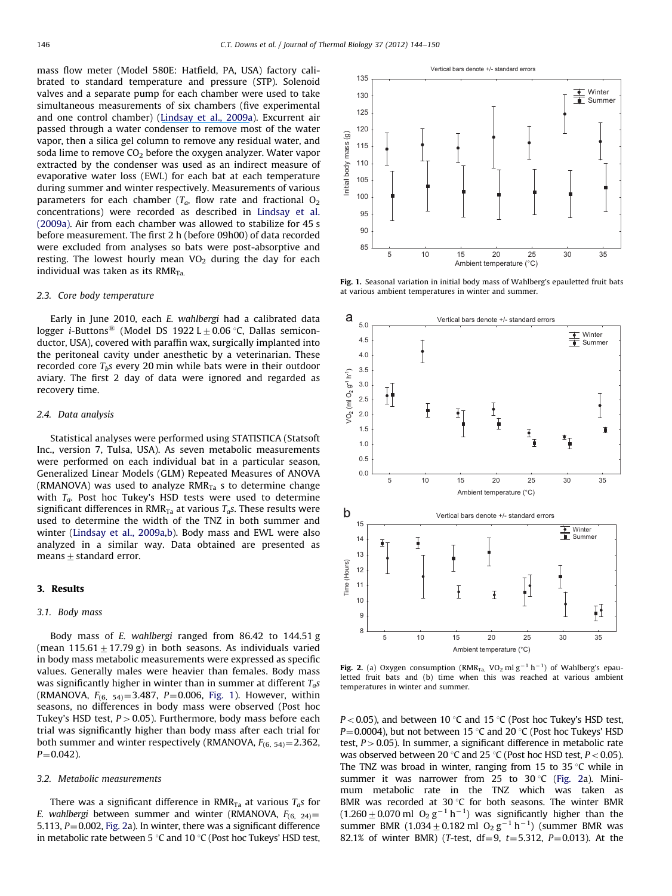<span id="page-3-0"></span>mass flow meter (Model 580E: Hatfield, PA, USA) factory calibrated to standard temperature and pressure (STP). Solenoid valves and a separate pump for each chamber were used to take simultaneous measurements of six chambers (five experimental and one control chamber) [\(Lindsay et al., 2009a\)](#page-6-0). Excurrent air passed through a water condenser to remove most of the water vapor, then a silica gel column to remove any residual water, and soda lime to remove  $CO<sub>2</sub>$  before the oxygen analyzer. Water vapor extracted by the condenser was used as an indirect measure of evaporative water loss (EWL) for each bat at each temperature during summer and winter respectively. Measurements of various parameters for each chamber ( $T_a$ , flow rate and fractional  $O_2$ concentrations) were recorded as described in [Lindsay et al.](#page-6-0) [\(2009a\).](#page-6-0) Air from each chamber was allowed to stabilize for 45 s before measurement. The first 2 h (before 09h00) of data recorded were excluded from analyses so bats were post-absorptive and resting. The lowest hourly mean  $VO<sub>2</sub>$  during the day for each individual was taken as its  $RMR_{Ta}$ .

#### 2.3. Core body temperature

Early in June 2010, each E. wahlbergi had a calibrated data logger *i*-Buttons<sup>®</sup> (Model DS 1922 L  $\pm$  0.06 °C, Dallas semiconductor, USA), covered with paraffin wax, surgically implanted into the peritoneal cavity under anesthetic by a veterinarian. These recorded core  $T_b$ s every 20 min while bats were in their outdoor aviary. The first 2 day of data were ignored and regarded as recovery time.

#### 2.4. Data analysis

Statistical analyses were performed using STATISTICA (Statsoft Inc., version 7, Tulsa, USA). As seven metabolic measurements were performed on each individual bat in a particular season, Generalized Linear Models (GLM) Repeated Measures of ANOVA (RMANOVA) was used to analyze  $RMR_{Ta}$  s to determine change with  $T_a$ . Post hoc Tukey's HSD tests were used to determine significant differences in  $RMR_{Ta}$  at various  $T_a$ s. These results were used to determine the width of the TNZ in both summer and winter ([Lindsay et al., 2009a,b\)](#page-6-0). Body mass and EWL were also analyzed in a similar way. Data obtained are presented as means  $\pm$  standard error.

## 3. Results

#### 3.1. Body mass

Body mass of E. wahlbergi ranged from 86.42 to 144.51 g (mean  $115.61 + 17.79$  g) in both seasons. As individuals varied in body mass metabolic measurements were expressed as specific values. Generally males were heavier than females. Body mass was significantly higher in winter than in summer at different  $T_a$ s (RMANOVA,  $F_{(6, 54)} = 3.487$ , P=0.006, Fig. 1). However, within seasons, no differences in body mass were observed (Post hoc Tukey's HSD test,  $P > 0.05$ ). Furthermore, body mass before each trial was significantly higher than body mass after each trial for both summer and winter respectively (RMANOVA,  $F_{(6, 54)} = 2.362$ ,  $P = 0.042$ ).

#### 3.2. Metabolic measurements

There was a significant difference in RMR<sub>Ta</sub> at various  $T_a$ s for E. wahlbergi between summer and winter (RMANOVA,  $F_{(6, 24)} =$ 5.113,  $P = 0.002$ , Fig. 2a). In winter, there was a significant difference in metabolic rate between 5  $\degree$ C and 10  $\degree$ C (Post hoc Tukeys' HSD test,



Fig. 1. Seasonal variation in initial body mass of Wahlberg's epauletted fruit bats at various ambient temperatures in winter and summer.



Fig. 2. (a) Oxygen consumption ( $RMR_{Ta}$ , VO<sub>2</sub> ml g<sup>-1</sup> h<sup>-1</sup>) of Wahlberg's epauletted fruit bats and (b) time when this was reached at various ambient temperatures in winter and summer.

 $P < 0.05$ ), and between 10 °C and 15 °C (Post hoc Tukey's HSD test,  $P=0.0004$ ), but not between 15 °C and 20 °C (Post hoc Tukeys' HSD test,  $P > 0.05$ ). In summer, a significant difference in metabolic rate was observed between 20 °C and 25 °C (Post hoc HSD test,  $P < 0.05$ ). The TNZ was broad in winter, ranging from 15 to 35  $\degree$ C while in summer it was narrower from 25 to 30 °C (Fig. 2a). Minimum metabolic rate in the TNZ which was taken as BMR was recorded at 30  $\degree$ C for both seasons. The winter BMR  $(1.260 \pm 0.070 \text{ ml } O_2 \text{ g}^{-1} \text{ h}^{-1})$  was significantly higher than the summer BMR  $(1.034 \pm 0.182 \text{ ml } O_2 g^{-1} h^{-1})$  (summer BMR was 82.1% of winter BMR) (T-test,  $df = 9$ ,  $t = 5.312$ ,  $P = 0.013$ ). At the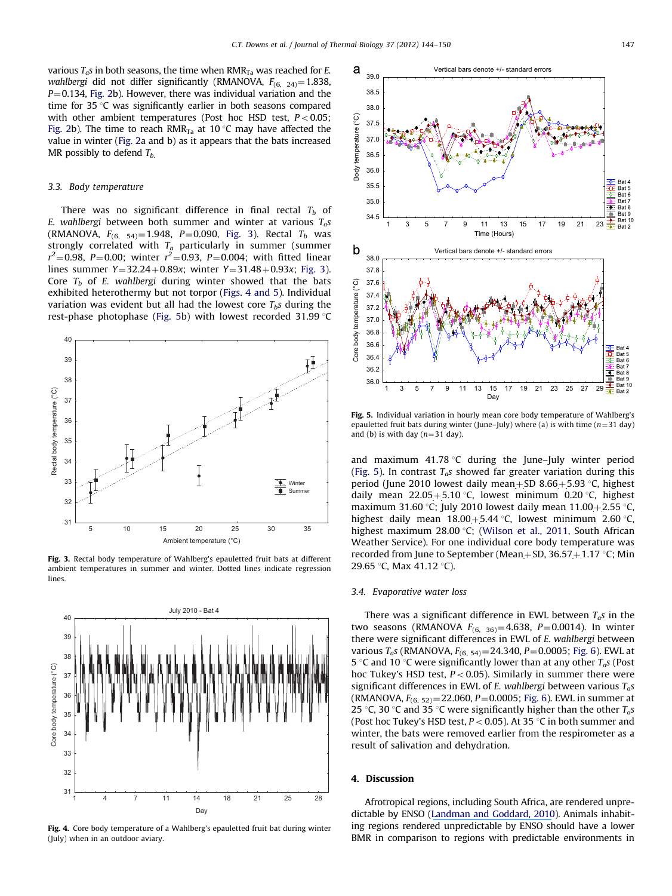various  $T_a$ s in both seasons, the time when RMR<sub>Ta</sub> was reached for *E*. wahlbergi did not differ significantly (RMANOVA,  $F_{(6, 24)} = 1.838$ ,  $P = 0.134$ , [Fig. 2b](#page-3-0)). However, there was individual variation and the time for 35  $\degree$ C was significantly earlier in both seasons compared with other ambient temperatures (Post hoc HSD test,  $P < 0.05$ ; [Fig. 2](#page-3-0)b). The time to reach RMR<sub>Ta</sub> at 10 °C may have affected the value in winter [\(Fig. 2a](#page-3-0) and b) as it appears that the bats increased MR possibly to defend  $T_{b}$ .

#### 3.3. Body temperature

There was no significant difference in final rectal  $T_b$  of E. wahlbergi between both summer and winter at various  $T_a$ s (RMANOVA,  $F_{(6, 54)} = 1.948$ , P = 0.090, Fig. 3). Rectal  $T_b$  was strongly correlated with  $T_a$  particularly in summer (summer  $r^2$ =0.98, P=0.00; winter  $r^2$ =0.93, P=0.004; with fitted linear lines summer  $Y = 32.24 + 0.89x$ ; winter  $Y = 31.48 + 0.93x$ ; Fig. 3). Core  $T_b$  of E. wahlbergi during winter showed that the bats exhibited heterothermy but not torpor (Figs. 4 and 5). Individual variation was evident but all had the lowest core  $T_b$ s during the rest-phase photophase (Fig. 5b) with lowest recorded 31.99 $\degree$ C



Fig. 3. Rectal body temperature of Wahlberg's epauletted fruit bats at different ambient temperatures in summer and winter. Dotted lines indicate regression lines.



Fig. 4. Core body temperature of a Wahlberg's epauletted fruit bat during winter (July) when in an outdoor aviary.



Fig. 5. Individual variation in hourly mean core body temperature of Wahlberg's epauletted fruit bats during winter (June–July) where (a) is with time ( $n=31$  day) and (b) is with day  $(n=31 \text{ day})$ .

and maximum  $41.78$  °C during the June–July winter period (Fig. 5). In contrast  $T_a s$  showed far greater variation during this period (June 2010 lowest daily mean+SD 8.66+5.93  $\degree$ C, highest daily mean  $22.05+5.10$  °C, lowest minimum 0.20 °C, highest maximum 31.60 °C; July 2010 lowest daily mean  $11.00+2.55$  °C, highest daily mean  $18.00+5.44$  °C, lowest minimum 2.60 °C, highest maximum 28.00 °C; ([Wilson et al., 2011,](#page-7-0) South African Weather Service). For one individual core body temperature was recorded from June to September (Mean + SD, 36.57 + 1.17  $\degree$ C; Min 29.65 °C, Max 41.12 °C).

#### 3.4. Evaporative water loss

There was a significant difference in EWL between  $T_a$ s in the two seasons (RMANOVA  $F_{(6, 36)} = 4.638$ , P=0.0014). In winter there were significant differences in EWL of E. wahlbergi between various  $T_a$ s (RMANOVA,  $F_{(6, 54)} = 24.340$ ,  $P = 0.0005$ ; [Fig. 6](#page-5-0)). EWL at 5 °C and 10 °C were significantly lower than at any other  $T_a$ s (Post hoc Tukey's HSD test,  $P < 0.05$ ). Similarly in summer there were significant differences in EWL of E. wahlbergi between various  $T_a$ s (RMANOVA,  $F_{(6, 52)} = 22.060$ , P = 0.0005; [Fig. 6\)](#page-5-0). EWL in summer at 25 °C, 30 °C and 35 °C were significantly higher than the other  $T_a s$ (Post hoc Tukey's HSD test,  $P < 0.05$ ). At 35 °C in both summer and winter, the bats were removed earlier from the respirometer as a result of salivation and dehydration.

#### 4. Discussion

Afrotropical regions, including South Africa, are rendered unpredictable by ENSO [\(Landman and Goddard, 2010\)](#page-6-0). Animals inhabiting regions rendered unpredictable by ENSO should have a lower BMR in comparison to regions with predictable environments in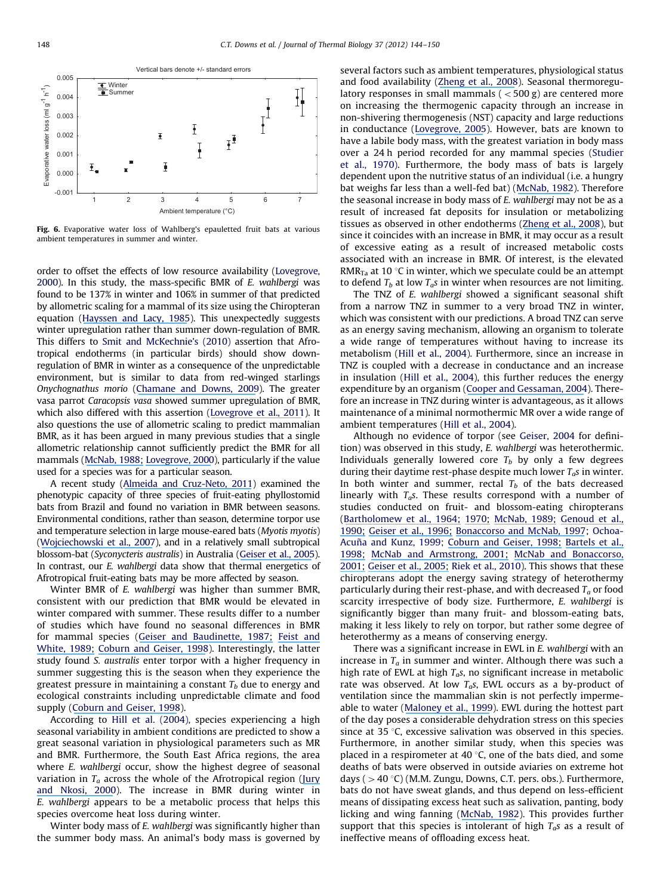<span id="page-5-0"></span>

Fig. 6. Evaporative water loss of Wahlberg's epauletted fruit bats at various ambient temperatures in summer and winter.

order to offset the effects of low resource availability [\(Lovegrove,](#page-6-0) [2000](#page-6-0)). In this study, the mass-specific BMR of E. wahlbergi was found to be 137% in winter and 106% in summer of that predicted by allometric scaling for a mammal of its size using the Chiropteran equation [\(Hayssen and Lacy, 1985](#page-6-0)). This unexpectedly suggests winter upregulation rather than summer down-regulation of BMR. This differs to [Smit and McKechnie's \(2010\)](#page-7-0) assertion that Afrotropical endotherms (in particular birds) should show downregulation of BMR in winter as a consequence of the unpredictable environment, but is similar to data from red-winged starlings Onychognathus morio ([Chamane and Downs, 2009\)](#page-6-0). The greater vasa parrot Caracopsis vasa showed summer upregulation of BMR, which also differed with this assertion [\(L](#page-7-0)[ovegrove](https://www.researchgate.net/publication/51233583_The_allometry_of_parrot_BMR_Seasonal_data_for_the_Greater_Vasa_Parrot_Coracopsis_vasa_from_Madagascar?el=1_x_8&enrichId=rgreq-161cf6c49f7f939f30c06d5b9c72fdae-XXX&enrichSource=Y292ZXJQYWdlOzIyMDAwOTUwNDtBUzo5ODg1NDU2OTUxMjk2NEAxNDAwNTgwMTc0NDE0)[et](https://www.researchgate.net/publication/51233583_The_allometry_of_parrot_BMR_Seasonal_data_for_the_Greater_Vasa_Parrot_Coracopsis_vasa_from_Madagascar?el=1_x_8&enrichId=rgreq-161cf6c49f7f939f30c06d5b9c72fdae-XXX&enrichSource=Y292ZXJQYWdlOzIyMDAwOTUwNDtBUzo5ODg1NDU2OTUxMjk2NEAxNDAwNTgwMTc0NDE0)[al.,](https://www.researchgate.net/publication/51233583_The_allometry_of_parrot_BMR_Seasonal_data_for_the_Greater_Vasa_Parrot_Coracopsis_vasa_from_Madagascar?el=1_x_8&enrichId=rgreq-161cf6c49f7f939f30c06d5b9c72fdae-XXX&enrichSource=Y292ZXJQYWdlOzIyMDAwOTUwNDtBUzo5ODg1NDU2OTUxMjk2NEAxNDAwNTgwMTc0NDE0)[201](https://www.researchgate.net/publication/51233583_The_allometry_of_parrot_BMR_Seasonal_data_for_the_Greater_Vasa_Parrot_Coracopsis_vasa_from_Madagascar?el=1_x_8&enrichId=rgreq-161cf6c49f7f939f30c06d5b9c72fdae-XXX&enrichSource=Y292ZXJQYWdlOzIyMDAwOTUwNDtBUzo5ODg1NDU2OTUxMjk2NEAxNDAwNTgwMTc0NDE0)[1](#page-7-0)). It also questions the use of allometric scaling to predict mammalian BMR, as it has been argued in many previous studies that a single allometric relationship cannot sufficiently predict the BMR for all mammals [\(M](#page-7-0)[cNab,](https://www.researchgate.net/publication/272152442_Complications_Inherent_in_Scaling_the_Basal_Rate_of_Metabolism_in_Mammals?el=1_x_8&enrichId=rgreq-161cf6c49f7f939f30c06d5b9c72fdae-XXX&enrichSource=Y292ZXJQYWdlOzIyMDAwOTUwNDtBUzo5ODg1NDU2OTUxMjk2NEAxNDAwNTgwMTc0NDE0)[1988;](https://www.researchgate.net/publication/272152442_Complications_Inherent_in_Scaling_the_Basal_Rate_of_Metabolism_in_Mammals?el=1_x_8&enrichId=rgreq-161cf6c49f7f939f30c06d5b9c72fdae-XXX&enrichSource=Y292ZXJQYWdlOzIyMDAwOTUwNDtBUzo5ODg1NDU2OTUxMjk2NEAxNDAwNTgwMTc0NDE0) [Lovegrove,](https://www.researchgate.net/publication/12462862_The_Zoogeography_of_Mammalian_Basal_Metabolic_Rate?el=1_x_8&enrichId=rgreq-161cf6c49f7f939f30c06d5b9c72fdae-XXX&enrichSource=Y292ZXJQYWdlOzIyMDAwOTUwNDtBUzo5ODg1NDU2OTUxMjk2NEAxNDAwNTgwMTc0NDE0)[200](https://www.researchgate.net/publication/12462862_The_Zoogeography_of_Mammalian_Basal_Metabolic_Rate?el=1_x_8&enrichId=rgreq-161cf6c49f7f939f30c06d5b9c72fdae-XXX&enrichSource=Y292ZXJQYWdlOzIyMDAwOTUwNDtBUzo5ODg1NDU2OTUxMjk2NEAxNDAwNTgwMTc0NDE0)[0\)](#page-6-0), particularly if the value used for a species was for a particular season.

A recent study [\(A](#page-6-0)[lmeida](https://www.researchgate.net/publication/232393430_Thermogenic_capacity_of_three_species_of_fruit-eating_phyllostomid_bats?el=1_x_8&enrichId=rgreq-161cf6c49f7f939f30c06d5b9c72fdae-XXX&enrichSource=Y292ZXJQYWdlOzIyMDAwOTUwNDtBUzo5ODg1NDU2OTUxMjk2NEAxNDAwNTgwMTc0NDE0)[and](https://www.researchgate.net/publication/232393430_Thermogenic_capacity_of_three_species_of_fruit-eating_phyllostomid_bats?el=1_x_8&enrichId=rgreq-161cf6c49f7f939f30c06d5b9c72fdae-XXX&enrichSource=Y292ZXJQYWdlOzIyMDAwOTUwNDtBUzo5ODg1NDU2OTUxMjk2NEAxNDAwNTgwMTc0NDE0)[Cruz-Neto,](https://www.researchgate.net/publication/232393430_Thermogenic_capacity_of_three_species_of_fruit-eating_phyllostomid_bats?el=1_x_8&enrichId=rgreq-161cf6c49f7f939f30c06d5b9c72fdae-XXX&enrichSource=Y292ZXJQYWdlOzIyMDAwOTUwNDtBUzo5ODg1NDU2OTUxMjk2NEAxNDAwNTgwMTc0NDE0)[201](https://www.researchgate.net/publication/232393430_Thermogenic_capacity_of_three_species_of_fruit-eating_phyllostomid_bats?el=1_x_8&enrichId=rgreq-161cf6c49f7f939f30c06d5b9c72fdae-XXX&enrichSource=Y292ZXJQYWdlOzIyMDAwOTUwNDtBUzo5ODg1NDU2OTUxMjk2NEAxNDAwNTgwMTc0NDE0)[1](#page-6-0)) examined the phenotypic capacity of three species of fruit-eating phyllostomid bats from Brazil and found no variation in BMR between seasons. Environmental conditions, rather than season, determine torpor use and temperature selection in large mouse-eared bats (Myotis myotis) ([Wojciechowski et al., 2007\)](#page-7-0), and in a relatively small subtropical blossom-bat (Syconycteris australis) in Australia [\(Geiser et al., 2005\)](#page-6-0). In contrast, our E. wahlbergi data show that thermal energetics of Afrotropical fruit-eating bats may be more affected by season.

Winter BMR of E. wahlbergi was higher than summer BMR, consistent with our prediction that BMR would be elevated in winter compared with summer. These results differ to a number of studies which have found no seasonal differences in BMR for mammal species ([G](#page-6-0)[eiser](https://www.researchgate.net/publication/225937438_Seasonality_of_torpor_and_thermoregulation_in_three_dasyurid_marsupials?el=1_x_8&enrichId=rgreq-161cf6c49f7f939f30c06d5b9c72fdae-XXX&enrichSource=Y292ZXJQYWdlOzIyMDAwOTUwNDtBUzo5ODg1NDU2OTUxMjk2NEAxNDAwNTgwMTc0NDE0)[and](https://www.researchgate.net/publication/225937438_Seasonality_of_torpor_and_thermoregulation_in_three_dasyurid_marsupials?el=1_x_8&enrichId=rgreq-161cf6c49f7f939f30c06d5b9c72fdae-XXX&enrichSource=Y292ZXJQYWdlOzIyMDAwOTUwNDtBUzo5ODg1NDU2OTUxMjk2NEAxNDAwNTgwMTc0NDE0)[Baudinette,](https://www.researchgate.net/publication/225937438_Seasonality_of_torpor_and_thermoregulation_in_three_dasyurid_marsupials?el=1_x_8&enrichId=rgreq-161cf6c49f7f939f30c06d5b9c72fdae-XXX&enrichSource=Y292ZXJQYWdlOzIyMDAwOTUwNDtBUzo5ODg1NDU2OTUxMjk2NEAxNDAwNTgwMTc0NDE0)[1987;](https://www.researchgate.net/publication/225937438_Seasonality_of_torpor_and_thermoregulation_in_three_dasyurid_marsupials?el=1_x_8&enrichId=rgreq-161cf6c49f7f939f30c06d5b9c72fdae-XXX&enrichSource=Y292ZXJQYWdlOzIyMDAwOTUwNDtBUzo5ODg1NDU2OTUxMjk2NEAxNDAwNTgwMTc0NDE0) [Feist](https://www.researchgate.net/publication/279375060_Terrestrial_Mammals_in_Cold?el=1_x_8&enrichId=rgreq-161cf6c49f7f939f30c06d5b9c72fdae-XXX&enrichSource=Y292ZXJQYWdlOzIyMDAwOTUwNDtBUzo5ODg1NDU2OTUxMjk2NEAxNDAwNTgwMTc0NDE0)[and](https://www.researchgate.net/publication/279375060_Terrestrial_Mammals_in_Cold?el=1_x_8&enrichId=rgreq-161cf6c49f7f939f30c06d5b9c72fdae-XXX&enrichSource=Y292ZXJQYWdlOzIyMDAwOTUwNDtBUzo5ODg1NDU2OTUxMjk2NEAxNDAwNTgwMTc0NDE0) [White, 1989](#page-6-0)[;](https://www.researchgate.net/publication/279375060_Terrestrial_Mammals_in_Cold?el=1_x_8&enrichId=rgreq-161cf6c49f7f939f30c06d5b9c72fdae-XXX&enrichSource=Y292ZXJQYWdlOzIyMDAwOTUwNDtBUzo5ODg1NDU2OTUxMjk2NEAxNDAwNTgwMTc0NDE0) [Coburn and Geiser, 1998\)](#page-6-0). Interestingly, the latter study found S. australis enter torpor with a higher frequency in summer suggesting this is the season when they experience the greatest pressure in maintaining a constant  $T<sub>b</sub>$  due to energy and ecological constraints including unpredictable climate and food supply [\(Coburn and Geiser, 1998\)](#page-6-0).

According to [Hill et al. \(2004\)](#page-6-0), species experiencing a high seasonal variability in ambient conditions are predicted to show a great seasonal variation in physiological parameters such as MR and BMR. Furthermore, the South East Africa regions, the area where *E. wahlbergi* occur, show the highest degree of seasonal variation in  $T_a$  across the whole of the Afrotropical region [\(Jury](#page-6-0) [and](https://www.researchgate.net/publication/268428475_Easterly_flow_in_the_tropical_Indian_Ocean_and_climate_variability_over_south-east_Africa?el=1_x_8&enrichId=rgreq-161cf6c49f7f939f30c06d5b9c72fdae-XXX&enrichSource=Y292ZXJQYWdlOzIyMDAwOTUwNDtBUzo5ODg1NDU2OTUxMjk2NEAxNDAwNTgwMTc0NDE0)[Nkosi,](https://www.researchgate.net/publication/268428475_Easterly_flow_in_the_tropical_Indian_Ocean_and_climate_variability_over_south-east_Africa?el=1_x_8&enrichId=rgreq-161cf6c49f7f939f30c06d5b9c72fdae-XXX&enrichSource=Y292ZXJQYWdlOzIyMDAwOTUwNDtBUzo5ODg1NDU2OTUxMjk2NEAxNDAwNTgwMTc0NDE0)[200](https://www.researchgate.net/publication/268428475_Easterly_flow_in_the_tropical_Indian_Ocean_and_climate_variability_over_south-east_Africa?el=1_x_8&enrichId=rgreq-161cf6c49f7f939f30c06d5b9c72fdae-XXX&enrichSource=Y292ZXJQYWdlOzIyMDAwOTUwNDtBUzo5ODg1NDU2OTUxMjk2NEAxNDAwNTgwMTc0NDE0)[0\)](#page-6-0). The increase in BMR during winter in E. wahlbergi appears to be a metabolic process that helps this species overcome heat loss during winter.

Winter body mass of E. wahlbergi was significantly higher than the summer body mass. An animal's body mass is governed by several factors such as ambient temperatures, physiological status and food availability ([Zheng et al., 2008](#page-7-0)). Seasonal thermoregulatory responses in small mammals  $(<500 g$ ) are centered more on increasing the thermogenic capacity through an increase in non-shivering thermogenesis (NST) capacity and large reductions in conductance ([L](#page-6-0)[ovegrove,](https://www.researchgate.net/publication/7840086_Seasonal_thermoregulatory_responses_in_mammals?el=1_x_8&enrichId=rgreq-161cf6c49f7f939f30c06d5b9c72fdae-XXX&enrichSource=Y292ZXJQYWdlOzIyMDAwOTUwNDtBUzo5ODg1NDU2OTUxMjk2NEAxNDAwNTgwMTc0NDE0)[200](https://www.researchgate.net/publication/7840086_Seasonal_thermoregulatory_responses_in_mammals?el=1_x_8&enrichId=rgreq-161cf6c49f7f939f30c06d5b9c72fdae-XXX&enrichSource=Y292ZXJQYWdlOzIyMDAwOTUwNDtBUzo5ODg1NDU2OTUxMjk2NEAxNDAwNTgwMTc0NDE0)[5](#page-6-0)). However, bats are known to have a labile body mass, with the greatest variation in body mass over a 24 h period recorded for any mammal species [\(Studier](#page-7-0) [et al., 1970](#page-7-0)). Furthermore, the body mass of bats is largely dependent upon the nutritive status of an individual (i.e. a hungry bat weighs far less than a well-fed bat) ([McNab, 1982](#page-7-0)). Therefore the seasonal increase in body mass of E. wahlbergi may not be as a result of increased fat deposits for insulation or metabolizing tissues as observed in other endotherms [\(Zheng et al., 2008](#page-7-0)), but since it coincides with an increase in BMR, it may occur as a result of excessive eating as a result of increased metabolic costs associated with an increase in BMR. Of interest, is the elevated RMR<sub>Ta</sub> at 10 °C in winter, which we speculate could be an attempt to defend  $T_b$  at low  $T_a$ s in winter when resources are not limiting.

The TNZ of E. wahlbergi showed a significant seasonal shift from a narrow TNZ in summer to a very broad TNZ in winter, which was consistent with our predictions. A broad TNZ can serve as an energy saving mechanism, allowing an organism to tolerate a wide range of temperatures without having to increase its metabolism [\(Hill et al., 2004\)](#page-6-0). Furthermore, since an increase in TNZ is coupled with a decrease in conductance and an increase in insulation [\(Hill et al., 2004](#page-6-0)), this further reduces the energy expenditure by an organism ([Cooper and Gessaman, 2004\)](#page-6-0). Therefore an increase in TNZ during winter is advantageous, as it allows maintenance of a minimal normothermic MR over a wide range of ambient temperatures ([Hill et al., 2004\)](#page-6-0).

Although no evidence of torpor (see [Geiser, 2004](#page-6-0) for definition) was observed in this study, E. wahlbergi was heterothermic. Individuals generally lowered core  $T_b$  by only a few degrees during their daytime rest-phase despite much lower  $T_a$ s in winter. In both winter and summer, rectal  $T_b$  of the bats decreased linearly with  $T_a$ s. These results correspond with a number of studies conducted on fruit- and blossom-eating chiropterans ([Bartholomew et al., 196](#page-6-0)[4;](https://www.researchgate.net/publication/284490908_Body_Temperature_Oxygen_Consumption_and_Heart_Rate_in_Three_Species_of_Australian_Flying_Foxes?el=1_x_8&enrichId=rgreq-161cf6c49f7f939f30c06d5b9c72fdae-XXX&enrichSource=Y292ZXJQYWdlOzIyMDAwOTUwNDtBUzo5ODg1NDU2OTUxMjk2NEAxNDAwNTgwMTc0NDE0) [197](#page-6-0)[0;](https://www.researchgate.net/publication/284703290_Thermoregulation_and_metabolism_in_bats?el=1_x_8&enrichId=rgreq-161cf6c49f7f939f30c06d5b9c72fdae-XXX&enrichSource=Y292ZXJQYWdlOzIyMDAwOTUwNDtBUzo5ODg1NDU2OTUxMjk2NEAxNDAwNTgwMTc0NDE0) [McNab, 198](#page-7-0)[9;](https://www.researchgate.net/publication/271814890_Temperature_Regulation_and_Rate_of_Metabolism_in_Three_Bornean_Bats?el=1_x_8&enrichId=rgreq-161cf6c49f7f939f30c06d5b9c72fdae-XXX&enrichSource=Y292ZXJQYWdlOzIyMDAwOTUwNDtBUzo5ODg1NDU2OTUxMjk2NEAxNDAwNTgwMTc0NDE0) [Genoud et al.,](#page-6-0) [1990](#page-6-0)[;](https://www.researchgate.net/publication/229412997_Rate_of_metabolism_and_temperature_regulation_in_two_small_tropical_insectivorous_bats_Peropteryx_macrotis_and_Natalus_tumidirostris?el=1_x_8&enrichId=rgreq-161cf6c49f7f939f30c06d5b9c72fdae-XXX&enrichSource=Y292ZXJQYWdlOzIyMDAwOTUwNDtBUzo5ODg1NDU2OTUxMjk2NEAxNDAwNTgwMTc0NDE0) [Geiser et al., 199](#page-6-0)[6;](https://www.researchgate.net/publication/230003421_Thermoregulation_energy_metabolism_and_torpor_in_blossom-bats_Syconycteris_australis_Megachiroptera?el=1_x_8&enrichId=rgreq-161cf6c49f7f939f30c06d5b9c72fdae-XXX&enrichSource=Y292ZXJQYWdlOzIyMDAwOTUwNDtBUzo5ODg1NDU2OTUxMjk2NEAxNDAwNTgwMTc0NDE0) [Bonaccorso and McNab, 1997](#page-6-0); [Ochoa-](#page-7-0)Acuña and Kunz, 1999; [Coburn and Geiser, 1998](#page-6-0)[;](https://www.researchgate.net/publication/225479538_Seasonal_changes_in_energetics_and_torpor_patterns_in_the_subtropical_blossom-bat_Syconycteris_australis_Megachiroptera?el=1_x_8&enrichId=rgreq-161cf6c49f7f939f30c06d5b9c72fdae-XXX&enrichSource=Y292ZXJQYWdlOzIyMDAwOTUwNDtBUzo5ODg1NDU2OTUxMjk2NEAxNDAwNTgwMTc0NDE0) [Bartels et al.,](#page-6-0) [199](#page-6-0)[8;](https://www.researchgate.net/publication/13693505_Daily_torpor_and_energetics_in_a_tropical_mammal_the_northern_blossom-bat_Macroglossus_minimus_Megachiroptera?el=1_x_8&enrichId=rgreq-161cf6c49f7f939f30c06d5b9c72fdae-XXX&enrichSource=Y292ZXJQYWdlOzIyMDAwOTUwNDtBUzo5ODg1NDU2OTUxMjk2NEAxNDAwNTgwMTc0NDE0) [McNab and Armstrong, 2001](#page-7-0)[;](https://www.researchgate.net/publication/250067832_Sexual_Dimorphism_and_Scaling_of_Energetics_in_Flying_Foxes_of_the_Genus_Pteropus?el=1_x_8&enrichId=rgreq-161cf6c49f7f939f30c06d5b9c72fdae-XXX&enrichSource=Y292ZXJQYWdlOzIyMDAwOTUwNDtBUzo5ODg1NDU2OTUxMjk2NEAxNDAwNTgwMTc0NDE0) [McNab and Bonaccorso,](#page-7-0) [2001;](https://www.researchgate.net/publication/11985785_The_metabolism_of_New_Guinean_pteropodid_bats?el=1_x_8&enrichId=rgreq-161cf6c49f7f939f30c06d5b9c72fdae-XXX&enrichSource=Y292ZXJQYWdlOzIyMDAwOTUwNDtBUzo5ODg1NDU2OTUxMjk2NEAxNDAwNTgwMTc0NDE0) [Geiser](https://www.researchgate.net/publication/222423423_Daily_torpor_in_relation_to_photoperiod_in_a_subtropical_blossom-bat_Syconycteris_australis_Megachiroptera?el=1_x_8&enrichId=rgreq-161cf6c49f7f939f30c06d5b9c72fdae-XXX&enrichSource=Y292ZXJQYWdlOzIyMDAwOTUwNDtBUzo5ODg1NDU2OTUxMjk2NEAxNDAwNTgwMTc0NDE0)[et](https://www.researchgate.net/publication/222423423_Daily_torpor_in_relation_to_photoperiod_in_a_subtropical_blossom-bat_Syconycteris_australis_Megachiroptera?el=1_x_8&enrichId=rgreq-161cf6c49f7f939f30c06d5b9c72fdae-XXX&enrichSource=Y292ZXJQYWdlOzIyMDAwOTUwNDtBUzo5ODg1NDU2OTUxMjk2NEAxNDAwNTgwMTc0NDE0)[al.,](https://www.researchgate.net/publication/222423423_Daily_torpor_in_relation_to_photoperiod_in_a_subtropical_blossom-bat_Syconycteris_australis_Megachiroptera?el=1_x_8&enrichId=rgreq-161cf6c49f7f939f30c06d5b9c72fdae-XXX&enrichSource=Y292ZXJQYWdlOzIyMDAwOTUwNDtBUzo5ODg1NDU2OTUxMjk2NEAxNDAwNTgwMTc0NDE0)[2005;](https://www.researchgate.net/publication/222423423_Daily_torpor_in_relation_to_photoperiod_in_a_subtropical_blossom-bat_Syconycteris_australis_Megachiroptera?el=1_x_8&enrichId=rgreq-161cf6c49f7f939f30c06d5b9c72fdae-XXX&enrichSource=Y292ZXJQYWdlOzIyMDAwOTUwNDtBUzo5ODg1NDU2OTUxMjk2NEAxNDAwNTgwMTc0NDE0) [Riek et al., 2010\)](#page-7-0). This shows that these chiropterans adopt the energy saving strategy of heterothermy particularly during their rest-phase, and with decreased  $T_a$  or food scarcity irrespective of body size. Furthermore, E. wahlbergi is significantly bigger than many fruit- and blossom-eating bats, making it less likely to rely on torpor, but rather some degree of heterothermy as a means of conserving energy.

There was a significant increase in EWL in E. wahlbergi with an increase in  $T_a$  in summer and winter. Although there was such a high rate of EWL at high  $T_a s$ , no significant increase in metabolic rate was observed. At low  $T_a$ s, EWL occurs as a by-product of ventilation since the mammalian skin is not perfectly impermeable to water ([Maloney et al., 1999\)](#page-7-0). EWL during the hottest part of the day poses a considerable dehydration stress on this species since at 35  $\degree$ C, excessive salivation was observed in this species. Furthermore, in another similar study, when this species was placed in a respirometer at 40 $\degree$ C, one of the bats died, and some deaths of bats were observed in outside aviaries on extreme hot days ( $> 40$  °C) (M.M. Zungu, Downs, C.T. pers. obs.). Furthermore, bats do not have sweat glands, and thus depend on less-efficient means of dissipating excess heat such as salivation, panting, body licking and wing fanning [\(McNab, 1982](#page-7-0)). This provides further support that this species is intolerant of high  $T_a$ s as a result of ineffective means of offloading excess heat.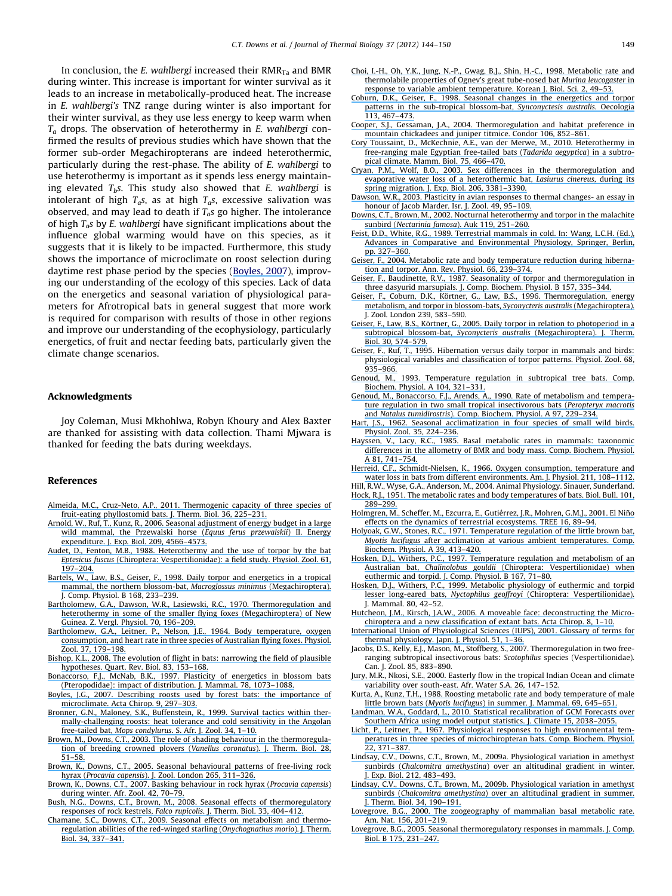<span id="page-6-0"></span>In conclusion, the E. wahlbergi increased their  $RMR_{Ta}$  and BMR during winter. This increase is important for winter survival as it leads to an increase in metabolically-produced heat. The increase in E. wahlbergi's TNZ range during winter is also important for their winter survival, as they use less energy to keep warm when  $T_a$  drops. The observation of heterothermy in E. wahlbergi confirmed the results of previous studies which have shown that the former sub-order Megachiropterans are indeed heterothermic, particularly during the rest-phase. The ability of E. wahlbergi to use heterothermy is important as it spends less energy maintaining elevated  $T<sub>b</sub>$ . This study also showed that E. wahlbergi is intolerant of high  $T_a$ s, as at high  $T_a$ s, excessive salivation was observed, and may lead to death if  $T<sub>o</sub>s$  go higher. The intolerance of high  $T_a$ s by E. wahlbergi have significant implications about the influence global warming would have on this species, as it suggests that it is likely to be impacted. Furthermore, this study shows the importance of microclimate on roost selection during daytime rest phase period by the species ([Boyles, 2007](https://www.researchgate.net/publication/232693545_Describing_roosts_used_by_forest_bats_The_importance_of_microclimate?el=1_x_8&enrichId=rgreq-161cf6c49f7f939f30c06d5b9c72fdae-XXX&enrichSource=Y292ZXJQYWdlOzIyMDAwOTUwNDtBUzo5ODg1NDU2OTUxMjk2NEAxNDAwNTgwMTc0NDE0)), improving our understanding of the ecology of this species. Lack of data on the energetics and seasonal variation of physiological parameters for Afrotropical bats in general suggest that more work is required for comparison with results of those in other regions and improve our understanding of the ecophysiology, particularly energetics, of fruit and nectar feeding bats, particularly given the climate change scenarios.

#### Acknowledgments

Joy Coleman, Musi Mkhohlwa, Robyn Khoury and Alex Baxter are thanked for assisting with data collection. Thami Mjwara is thanked for feeding the bats during weekdays.

#### References

- [Almeida, M.C., Cruz-Neto, A.P., 2011. Thermogenic capacity of three species of](https://www.researchgate.net/publication/232393430_Thermogenic_capacity_of_three_species_of_fruit-eating_phyllostomid_bats?el=1_x_8&enrichId=rgreq-161cf6c49f7f939f30c06d5b9c72fdae-XXX&enrichSource=Y292ZXJQYWdlOzIyMDAwOTUwNDtBUzo5ODg1NDU2OTUxMjk2NEAxNDAwNTgwMTc0NDE0) [fruit-eating phyllostomid bats. J. Therm. Biol. 36, 225–231.](https://www.researchgate.net/publication/232393430_Thermogenic_capacity_of_three_species_of_fruit-eating_phyllostomid_bats?el=1_x_8&enrichId=rgreq-161cf6c49f7f939f30c06d5b9c72fdae-XXX&enrichSource=Y292ZXJQYWdlOzIyMDAwOTUwNDtBUzo5ODg1NDU2OTUxMjk2NEAxNDAwNTgwMTc0NDE0)
- [Arnold, W., Ruf, T., Kunz, R., 2006. Seasonal adjustment of energy budget in a large](https://www.researchgate.net/publication/6716414_Seasonal_adjustment_of_energy_budget_in_a_large_wild_mammal_the_Przewalski_horse_Equus_ferus_przewalskii_II_Energy_expenditure?el=1_x_8&enrichId=rgreq-161cf6c49f7f939f30c06d5b9c72fdae-XXX&enrichSource=Y292ZXJQYWdlOzIyMDAwOTUwNDtBUzo5ODg1NDU2OTUxMjk2NEAxNDAwNTgwMTc0NDE0) [wild mammal, the Przewalski horse \(](https://www.researchgate.net/publication/6716414_Seasonal_adjustment_of_energy_budget_in_a_large_wild_mammal_the_Przewalski_horse_Equus_ferus_przewalskii_II_Energy_expenditure?el=1_x_8&enrichId=rgreq-161cf6c49f7f939f30c06d5b9c72fdae-XXX&enrichSource=Y292ZXJQYWdlOzIyMDAwOTUwNDtBUzo5ODg1NDU2OTUxMjk2NEAxNDAwNTgwMTc0NDE0)Equus ferus przewalskii) II. Energy [expenditure. J. Exp. Biol. 209, 4566–4573.](https://www.researchgate.net/publication/6716414_Seasonal_adjustment_of_energy_budget_in_a_large_wild_mammal_the_Przewalski_horse_Equus_ferus_przewalskii_II_Energy_expenditure?el=1_x_8&enrichId=rgreq-161cf6c49f7f939f30c06d5b9c72fdae-XXX&enrichSource=Y292ZXJQYWdlOzIyMDAwOTUwNDtBUzo5ODg1NDU2OTUxMjk2NEAxNDAwNTgwMTc0NDE0)
- [Audet, D., Fenton, M.B., 1988. Heterothermy and the use of torpor by the bat](https://www.researchgate.net/publication/284295702_Heterothermy_and_the_Use_of_Torpor_by_the_Bat_Eptesicus_fuscus_Chiroptera_Vespertilionidae_A_Field_Study?el=1_x_8&enrichId=rgreq-161cf6c49f7f939f30c06d5b9c72fdae-XXX&enrichSource=Y292ZXJQYWdlOzIyMDAwOTUwNDtBUzo5ODg1NDU2OTUxMjk2NEAxNDAwNTgwMTc0NDE0) Eptesicus fuscus [\(Chiroptera: Vespertilionidae\): a field study. Physiol. Zool. 61,](https://www.researchgate.net/publication/284295702_Heterothermy_and_the_Use_of_Torpor_by_the_Bat_Eptesicus_fuscus_Chiroptera_Vespertilionidae_A_Field_Study?el=1_x_8&enrichId=rgreq-161cf6c49f7f939f30c06d5b9c72fdae-XXX&enrichSource=Y292ZXJQYWdlOzIyMDAwOTUwNDtBUzo5ODg1NDU2OTUxMjk2NEAxNDAwNTgwMTc0NDE0) [197–204.](https://www.researchgate.net/publication/284295702_Heterothermy_and_the_Use_of_Torpor_by_the_Bat_Eptesicus_fuscus_Chiroptera_Vespertilionidae_A_Field_Study?el=1_x_8&enrichId=rgreq-161cf6c49f7f939f30c06d5b9c72fdae-XXX&enrichSource=Y292ZXJQYWdlOzIyMDAwOTUwNDtBUzo5ODg1NDU2OTUxMjk2NEAxNDAwNTgwMTc0NDE0)
- [Bartels, W., Law, B.S., Geiser, F., 1998. Daily torpor and energetics in a tropical](https://www.researchgate.net/publication/13693505_Daily_torpor_and_energetics_in_a_tropical_mammal_the_northern_blossom-bat_Macroglossus_minimus_Megachiroptera?el=1_x_8&enrichId=rgreq-161cf6c49f7f939f30c06d5b9c72fdae-XXX&enrichSource=Y292ZXJQYWdlOzIyMDAwOTUwNDtBUzo5ODg1NDU2OTUxMjk2NEAxNDAwNTgwMTc0NDE0) [mammal, the northern blossom-bat,](https://www.researchgate.net/publication/13693505_Daily_torpor_and_energetics_in_a_tropical_mammal_the_northern_blossom-bat_Macroglossus_minimus_Megachiroptera?el=1_x_8&enrichId=rgreq-161cf6c49f7f939f30c06d5b9c72fdae-XXX&enrichSource=Y292ZXJQYWdlOzIyMDAwOTUwNDtBUzo5ODg1NDU2OTUxMjk2NEAxNDAwNTgwMTc0NDE0) Macroglossus minimus (Megachiroptera). J. Comp. Physiol. B 168, 233–239.
- [Bartholomew, G.A., Dawson, W.R., Lasiewski, R.C., 1970. Thermoregulation and](https://www.researchgate.net/publication/30847865_Thermoregulation_and_heterothermy_in_some_smaller_flying_foxes_Megachiroptera_of_New_Guinea?el=1_x_8&enrichId=rgreq-161cf6c49f7f939f30c06d5b9c72fdae-XXX&enrichSource=Y292ZXJQYWdlOzIyMDAwOTUwNDtBUzo5ODg1NDU2OTUxMjk2NEAxNDAwNTgwMTc0NDE0) [heterothermy in some of the smaller flying foxes \(Megachiroptera\) of New](https://www.researchgate.net/publication/30847865_Thermoregulation_and_heterothermy_in_some_smaller_flying_foxes_Megachiroptera_of_New_Guinea?el=1_x_8&enrichId=rgreq-161cf6c49f7f939f30c06d5b9c72fdae-XXX&enrichSource=Y292ZXJQYWdlOzIyMDAwOTUwNDtBUzo5ODg1NDU2OTUxMjk2NEAxNDAwNTgwMTc0NDE0) [Guinea. Z. Vergl. Physiol. 70, 196–209.](https://www.researchgate.net/publication/30847865_Thermoregulation_and_heterothermy_in_some_smaller_flying_foxes_Megachiroptera_of_New_Guinea?el=1_x_8&enrichId=rgreq-161cf6c49f7f939f30c06d5b9c72fdae-XXX&enrichSource=Y292ZXJQYWdlOzIyMDAwOTUwNDtBUzo5ODg1NDU2OTUxMjk2NEAxNDAwNTgwMTc0NDE0)
- [Bartholomew, G.A., Leitner, P., Nelson, J.E., 1964. Body temperature, oxygen](https://www.researchgate.net/publication/284490908_Body_Temperature_Oxygen_Consumption_and_Heart_Rate_in_Three_Species_of_Australian_Flying_Foxes?el=1_x_8&enrichId=rgreq-161cf6c49f7f939f30c06d5b9c72fdae-XXX&enrichSource=Y292ZXJQYWdlOzIyMDAwOTUwNDtBUzo5ODg1NDU2OTUxMjk2NEAxNDAwNTgwMTc0NDE0) [consumption, and heart rate in three species of Australian flying foxes. Physiol.](https://www.researchgate.net/publication/284490908_Body_Temperature_Oxygen_Consumption_and_Heart_Rate_in_Three_Species_of_Australian_Flying_Foxes?el=1_x_8&enrichId=rgreq-161cf6c49f7f939f30c06d5b9c72fdae-XXX&enrichSource=Y292ZXJQYWdlOzIyMDAwOTUwNDtBUzo5ODg1NDU2OTUxMjk2NEAxNDAwNTgwMTc0NDE0) [Zool. 37, 179–198.](https://www.researchgate.net/publication/284490908_Body_Temperature_Oxygen_Consumption_and_Heart_Rate_in_Three_Species_of_Australian_Flying_Foxes?el=1_x_8&enrichId=rgreq-161cf6c49f7f939f30c06d5b9c72fdae-XXX&enrichSource=Y292ZXJQYWdlOzIyMDAwOTUwNDtBUzo5ODg1NDU2OTUxMjk2NEAxNDAwNTgwMTc0NDE0)
- [Bishop, K.L., 2008. The evolution of flight in bats: narrowing the field of plausible](https://www.researchgate.net/publication/5246555_The_Evolution_of_Flight_in_Bats_Narrowing_the_Field_of_Plausible_Hypotheses?el=1_x_8&enrichId=rgreq-161cf6c49f7f939f30c06d5b9c72fdae-XXX&enrichSource=Y292ZXJQYWdlOzIyMDAwOTUwNDtBUzo5ODg1NDU2OTUxMjk2NEAxNDAwNTgwMTc0NDE0) [hypotheses. Quart. Rev. Biol. 83, 153–168.](https://www.researchgate.net/publication/5246555_The_Evolution_of_Flight_in_Bats_Narrowing_the_Field_of_Plausible_Hypotheses?el=1_x_8&enrichId=rgreq-161cf6c49f7f939f30c06d5b9c72fdae-XXX&enrichSource=Y292ZXJQYWdlOzIyMDAwOTUwNDtBUzo5ODg1NDU2OTUxMjk2NEAxNDAwNTgwMTc0NDE0)
- [Bonaccorso, F.J., McNab, B.K., 1997. Plasticity of energetics in blossom bats](https://www.researchgate.net/publication/272577905_Plasticity_of_Energetics_in_Blossom_Bats_Pteropodidae_Impact_on_Distribution?el=1_x_8&enrichId=rgreq-161cf6c49f7f939f30c06d5b9c72fdae-XXX&enrichSource=Y292ZXJQYWdlOzIyMDAwOTUwNDtBUzo5ODg1NDU2OTUxMjk2NEAxNDAwNTgwMTc0NDE0) [\(Pteropodidae\): impact of distribution. J. Mammal. 78, 1073–1088.](https://www.researchgate.net/publication/272577905_Plasticity_of_Energetics_in_Blossom_Bats_Pteropodidae_Impact_on_Distribution?el=1_x_8&enrichId=rgreq-161cf6c49f7f939f30c06d5b9c72fdae-XXX&enrichSource=Y292ZXJQYWdlOzIyMDAwOTUwNDtBUzo5ODg1NDU2OTUxMjk2NEAxNDAwNTgwMTc0NDE0)
- [Boyles, J.G., 2007. Describing roosts used by forest bats: the importance of](https://www.researchgate.net/publication/232693545_Describing_roosts_used_by_forest_bats_The_importance_of_microclimate?el=1_x_8&enrichId=rgreq-161cf6c49f7f939f30c06d5b9c72fdae-XXX&enrichSource=Y292ZXJQYWdlOzIyMDAwOTUwNDtBUzo5ODg1NDU2OTUxMjk2NEAxNDAwNTgwMTc0NDE0) [microclimate. Acta Chirop. 9, 297–303.](https://www.researchgate.net/publication/232693545_Describing_roosts_used_by_forest_bats_The_importance_of_microclimate?el=1_x_8&enrichId=rgreq-161cf6c49f7f939f30c06d5b9c72fdae-XXX&enrichSource=Y292ZXJQYWdlOzIyMDAwOTUwNDtBUzo5ODg1NDU2OTUxMjk2NEAxNDAwNTgwMTc0NDE0)
- [Bronner, G.N., Maloney, S.K., Buffenstein, R., 1999. Survival tactics within ther](https://www.researchgate.net/publication/282053878_Survival_tactics_within_thermally-challenging_roosts_Heat_tolerance_and_cold_sensitivity_in_the_Angolan_free-tailed_bat_Mops_condylurus?el=1_x_8&enrichId=rgreq-161cf6c49f7f939f30c06d5b9c72fdae-XXX&enrichSource=Y292ZXJQYWdlOzIyMDAwOTUwNDtBUzo5ODg1NDU2OTUxMjk2NEAxNDAwNTgwMTc0NDE0)[mally-challenging roosts: heat tolerance and cold sensitivity in the Angolan](https://www.researchgate.net/publication/282053878_Survival_tactics_within_thermally-challenging_roosts_Heat_tolerance_and_cold_sensitivity_in_the_Angolan_free-tailed_bat_Mops_condylurus?el=1_x_8&enrichId=rgreq-161cf6c49f7f939f30c06d5b9c72fdae-XXX&enrichSource=Y292ZXJQYWdlOzIyMDAwOTUwNDtBUzo5ODg1NDU2OTUxMjk2NEAxNDAwNTgwMTc0NDE0) free-tailed bat, Mops condylurus[. S. Afr. J. Zool. 34, 1–10.](https://www.researchgate.net/publication/282053878_Survival_tactics_within_thermally-challenging_roosts_Heat_tolerance_and_cold_sensitivity_in_the_Angolan_free-tailed_bat_Mops_condylurus?el=1_x_8&enrichId=rgreq-161cf6c49f7f939f30c06d5b9c72fdae-XXX&enrichSource=Y292ZXJQYWdlOzIyMDAwOTUwNDtBUzo5ODg1NDU2OTUxMjk2NEAxNDAwNTgwMTc0NDE0)
- [Brown, M., Downs, C.T., 2003. The role of shading behaviour in the thermoregula](https://www.researchgate.net/publication/52012111_The_role_of_shading_behaviour_in_the_thermoregulation_of_breeding_Crowned_Plovers_Vanellus_coronatus?el=1_x_8&enrichId=rgreq-161cf6c49f7f939f30c06d5b9c72fdae-XXX&enrichSource=Y292ZXJQYWdlOzIyMDAwOTUwNDtBUzo5ODg1NDU2OTUxMjk2NEAxNDAwNTgwMTc0NDE0)[tion of breeding crowned plovers \(](https://www.researchgate.net/publication/52012111_The_role_of_shading_behaviour_in_the_thermoregulation_of_breeding_Crowned_Plovers_Vanellus_coronatus?el=1_x_8&enrichId=rgreq-161cf6c49f7f939f30c06d5b9c72fdae-XXX&enrichSource=Y292ZXJQYWdlOzIyMDAwOTUwNDtBUzo5ODg1NDU2OTUxMjk2NEAxNDAwNTgwMTc0NDE0)Vanellus coronatus). J. Therm. Biol. 28, [51–58.](https://www.researchgate.net/publication/52012111_The_role_of_shading_behaviour_in_the_thermoregulation_of_breeding_Crowned_Plovers_Vanellus_coronatus?el=1_x_8&enrichId=rgreq-161cf6c49f7f939f30c06d5b9c72fdae-XXX&enrichSource=Y292ZXJQYWdlOzIyMDAwOTUwNDtBUzo5ODg1NDU2OTUxMjk2NEAxNDAwNTgwMTc0NDE0)
- [Brown, K., Downs, C.T., 2005. Seasonal behavioural patterns of free-living rock](https://www.researchgate.net/publication/220009472_Seasonal_behavioural_patterns_of_free-living_rock_hyrax_Procavia_capensis?el=1_x_8&enrichId=rgreq-161cf6c49f7f939f30c06d5b9c72fdae-XXX&enrichSource=Y292ZXJQYWdlOzIyMDAwOTUwNDtBUzo5ODg1NDU2OTUxMjk2NEAxNDAwNTgwMTc0NDE0) hyrax (Procavia capensis[\). J. Zool. London 265, 311–326.](https://www.researchgate.net/publication/220009472_Seasonal_behavioural_patterns_of_free-living_rock_hyrax_Procavia_capensis?el=1_x_8&enrichId=rgreq-161cf6c49f7f939f30c06d5b9c72fdae-XXX&enrichSource=Y292ZXJQYWdlOzIyMDAwOTUwNDtBUzo5ODg1NDU2OTUxMjk2NEAxNDAwNTgwMTc0NDE0)
- [Brown, K., Downs, C.T., 2007. Basking behaviour in rock hyrax \(](https://www.researchgate.net/publication/220009480_Basking_behaviour_in_the_rock_hyrax_Procavia_capensis_during_winter?el=1_x_8&enrichId=rgreq-161cf6c49f7f939f30c06d5b9c72fdae-XXX&enrichSource=Y292ZXJQYWdlOzIyMDAwOTUwNDtBUzo5ODg1NDU2OTUxMjk2NEAxNDAwNTgwMTc0NDE0)Procavia capensis) [during winter. Afr. Zool. 42, 70–79.](https://www.researchgate.net/publication/220009480_Basking_behaviour_in_the_rock_hyrax_Procavia_capensis_during_winter?el=1_x_8&enrichId=rgreq-161cf6c49f7f939f30c06d5b9c72fdae-XXX&enrichSource=Y292ZXJQYWdlOzIyMDAwOTUwNDtBUzo5ODg1NDU2OTUxMjk2NEAxNDAwNTgwMTc0NDE0)
- [Bush, N.G., Downs, C.T., Brown, M., 2008. Seasonal effects of thermoregulatory](https://www.researchgate.net/publication/52003707_Seasonal_effects_on_thermoregulatory_responses_of_the_Rock_Kestrel_Falco_rupicolis?el=1_x_8&enrichId=rgreq-161cf6c49f7f939f30c06d5b9c72fdae-XXX&enrichSource=Y292ZXJQYWdlOzIyMDAwOTUwNDtBUzo5ODg1NDU2OTUxMjk2NEAxNDAwNTgwMTc0NDE0) responses of rock kestrels, Falco rupicolis[. J. Therm. Biol. 33, 404–412.](https://www.researchgate.net/publication/52003707_Seasonal_effects_on_thermoregulatory_responses_of_the_Rock_Kestrel_Falco_rupicolis?el=1_x_8&enrichId=rgreq-161cf6c49f7f939f30c06d5b9c72fdae-XXX&enrichSource=Y292ZXJQYWdlOzIyMDAwOTUwNDtBUzo5ODg1NDU2OTUxMjk2NEAxNDAwNTgwMTc0NDE0)
- [Chamane, S.C., Downs, C.T., 2009. Seasonal effects on metabolism and thermo](https://www.researchgate.net/publication/220009465_Seasonal_effects_on_metabolism_and_thermoregulation_abilities_of_the_Red-winged_Starling_Onychognathus_morio?el=1_x_8&enrichId=rgreq-161cf6c49f7f939f30c06d5b9c72fdae-XXX&enrichSource=Y292ZXJQYWdlOzIyMDAwOTUwNDtBUzo5ODg1NDU2OTUxMjk2NEAxNDAwNTgwMTc0NDE0)[regulation abilities of the red-winged starling \(](https://www.researchgate.net/publication/220009465_Seasonal_effects_on_metabolism_and_thermoregulation_abilities_of_the_Red-winged_Starling_Onychognathus_morio?el=1_x_8&enrichId=rgreq-161cf6c49f7f939f30c06d5b9c72fdae-XXX&enrichSource=Y292ZXJQYWdlOzIyMDAwOTUwNDtBUzo5ODg1NDU2OTUxMjk2NEAxNDAwNTgwMTc0NDE0)Onychognathus morio). J. Therm. [Biol. 34, 337–341.](https://www.researchgate.net/publication/220009465_Seasonal_effects_on_metabolism_and_thermoregulation_abilities_of_the_Red-winged_Starling_Onychognathus_morio?el=1_x_8&enrichId=rgreq-161cf6c49f7f939f30c06d5b9c72fdae-XXX&enrichSource=Y292ZXJQYWdlOzIyMDAwOTUwNDtBUzo5ODg1NDU2OTUxMjk2NEAxNDAwNTgwMTc0NDE0)
- [Choi, I.-H., Oh, Y.K., Jung, N.-P., Gwag, B.J., Shin, H.-C., 1998. Metabolic rate and](https://www.researchgate.net/publication/232853298_Metabolic_rate_and_thermolabile_properties_of_ognev) [thermolabile properties of Ognev's great tube-nosed bat](https://www.researchgate.net/publication/232853298_Metabolic_rate_and_thermolabile_properties_of_ognev) Murina leucogaster in [response to variable ambient temperature. Korean J. Biol. Sci. 2, 49–53.](https://www.researchgate.net/publication/232853298_Metabolic_rate_and_thermolabile_properties_of_ognev)
- [Coburn, D.K., Geiser, F., 1998. Seasonal changes in the energetics and torpor](https://www.researchgate.net/publication/225479538_Seasonal_changes_in_energetics_and_torpor_patterns_in_the_subtropical_blossom-bat_Syconycteris_australis_Megachiroptera?el=1_x_8&enrichId=rgreq-161cf6c49f7f939f30c06d5b9c72fdae-XXX&enrichSource=Y292ZXJQYWdlOzIyMDAwOTUwNDtBUzo5ODg1NDU2OTUxMjk2NEAxNDAwNTgwMTc0NDE0) [patterns in the sub-tropical blossom-bat,](https://www.researchgate.net/publication/225479538_Seasonal_changes_in_energetics_and_torpor_patterns_in_the_subtropical_blossom-bat_Syconycteris_australis_Megachiroptera?el=1_x_8&enrichId=rgreq-161cf6c49f7f939f30c06d5b9c72fdae-XXX&enrichSource=Y292ZXJQYWdlOzIyMDAwOTUwNDtBUzo5ODg1NDU2OTUxMjk2NEAxNDAwNTgwMTc0NDE0) Synconyctesis australis. Oecologia [113, 467–473.](https://www.researchgate.net/publication/225479538_Seasonal_changes_in_energetics_and_torpor_patterns_in_the_subtropical_blossom-bat_Syconycteris_australis_Megachiroptera?el=1_x_8&enrichId=rgreq-161cf6c49f7f939f30c06d5b9c72fdae-XXX&enrichSource=Y292ZXJQYWdlOzIyMDAwOTUwNDtBUzo5ODg1NDU2OTUxMjk2NEAxNDAwNTgwMTc0NDE0)
- [Cooper, S.J., Gessaman, J.A., 2004. Thermoregulation and habitat preference in](https://www.researchgate.net/publication/232694014_Thermoregulation_and_habitat_preference_in_Mountain_Chickadees_and_Juniper_Titmice?el=1_x_8&enrichId=rgreq-161cf6c49f7f939f30c06d5b9c72fdae-XXX&enrichSource=Y292ZXJQYWdlOzIyMDAwOTUwNDtBUzo5ODg1NDU2OTUxMjk2NEAxNDAwNTgwMTc0NDE0) [mountain chickadees and juniper titmice. Condor 106, 852–861.](https://www.researchgate.net/publication/232694014_Thermoregulation_and_habitat_preference_in_Mountain_Chickadees_and_Juniper_Titmice?el=1_x_8&enrichId=rgreq-161cf6c49f7f939f30c06d5b9c72fdae-XXX&enrichSource=Y292ZXJQYWdlOzIyMDAwOTUwNDtBUzo5ODg1NDU2OTUxMjk2NEAxNDAwNTgwMTc0NDE0)
- [Cory Toussaint, D., McKechnie, A.E., van der Merwe, M., 2010. Heterothermy in](https://www.researchgate.net/publication/248908759_Heterothermy_in_free-ranging_male_Egyptian_Free-tailed_bats_Tadarida_aegyptiaca_in_a_subtropical_climate?el=1_x_8&enrichId=rgreq-161cf6c49f7f939f30c06d5b9c72fdae-XXX&enrichSource=Y292ZXJQYWdlOzIyMDAwOTUwNDtBUzo5ODg1NDU2OTUxMjk2NEAxNDAwNTgwMTc0NDE0) [free-ranging male Egyptian free-tailed bats \(](https://www.researchgate.net/publication/248908759_Heterothermy_in_free-ranging_male_Egyptian_Free-tailed_bats_Tadarida_aegyptiaca_in_a_subtropical_climate?el=1_x_8&enrichId=rgreq-161cf6c49f7f939f30c06d5b9c72fdae-XXX&enrichSource=Y292ZXJQYWdlOzIyMDAwOTUwNDtBUzo5ODg1NDU2OTUxMjk2NEAxNDAwNTgwMTc0NDE0)Tadarida aegyptica) in a subtro[pical climate. Mamm. Biol. 75, 466–470.](https://www.researchgate.net/publication/248908759_Heterothermy_in_free-ranging_male_Egyptian_Free-tailed_bats_Tadarida_aegyptiaca_in_a_subtropical_climate?el=1_x_8&enrichId=rgreq-161cf6c49f7f939f30c06d5b9c72fdae-XXX&enrichSource=Y292ZXJQYWdlOzIyMDAwOTUwNDtBUzo5ODg1NDU2OTUxMjk2NEAxNDAwNTgwMTc0NDE0)
- [Cryan, P.M., Wolf, B.O., 2003. Sex differences in the thermoregulation and](https://www.researchgate.net/publication/10597964_Sex_differences_in_the_thermoregulation_and_evaporative_water_loss_of_a_heterothermic_bat_Lasiurus_cinereus_during_its_spring_migration?el=1_x_8&enrichId=rgreq-161cf6c49f7f939f30c06d5b9c72fdae-XXX&enrichSource=Y292ZXJQYWdlOzIyMDAwOTUwNDtBUzo5ODg1NDU2OTUxMjk2NEAxNDAwNTgwMTc0NDE0) [evaporative water loss of a heterothermic bat,](https://www.researchgate.net/publication/10597964_Sex_differences_in_the_thermoregulation_and_evaporative_water_loss_of_a_heterothermic_bat_Lasiurus_cinereus_during_its_spring_migration?el=1_x_8&enrichId=rgreq-161cf6c49f7f939f30c06d5b9c72fdae-XXX&enrichSource=Y292ZXJQYWdlOzIyMDAwOTUwNDtBUzo5ODg1NDU2OTUxMjk2NEAxNDAwNTgwMTc0NDE0) Lasiurus cinereus, during its [spring migration. J. Exp. Biol. 206, 3381–3390.](https://www.researchgate.net/publication/10597964_Sex_differences_in_the_thermoregulation_and_evaporative_water_loss_of_a_heterothermic_bat_Lasiurus_cinereus_during_its_spring_migration?el=1_x_8&enrichId=rgreq-161cf6c49f7f939f30c06d5b9c72fdae-XXX&enrichSource=Y292ZXJQYWdlOzIyMDAwOTUwNDtBUzo5ODg1NDU2OTUxMjk2NEAxNDAwNTgwMTc0NDE0)
- [Dawson, W.R., 2003. Plasticity in avian responses to thermal changes- an essay in](https://www.researchgate.net/publication/240764865_Plasticity_in_avian_responses_to_thermal_challenges_-_An_essay_in_honor_of_Jacob_Marder?el=1_x_8&enrichId=rgreq-161cf6c49f7f939f30c06d5b9c72fdae-XXX&enrichSource=Y292ZXJQYWdlOzIyMDAwOTUwNDtBUzo5ODg1NDU2OTUxMjk2NEAxNDAwNTgwMTc0NDE0) honour of Jacob Marder. Isr. J. Zool. 49, 95-109.
- [Downs, C.T., Brown, M., 2002. Nocturnal heterothermy and torpor in the malachite](https://www.researchgate.net/publication/220009449_Nocturnal_Heterothermy_and_Torpor_in_the_Malachite_Sunbird_Nectarinia_famosa?el=1_x_8&enrichId=rgreq-161cf6c49f7f939f30c06d5b9c72fdae-XXX&enrichSource=Y292ZXJQYWdlOzIyMDAwOTUwNDtBUzo5ODg1NDU2OTUxMjk2NEAxNDAwNTgwMTc0NDE0) sunbird (Nectarinia famosa[\). Auk 119, 251–260.](https://www.researchgate.net/publication/220009449_Nocturnal_Heterothermy_and_Torpor_in_the_Malachite_Sunbird_Nectarinia_famosa?el=1_x_8&enrichId=rgreq-161cf6c49f7f939f30c06d5b9c72fdae-XXX&enrichSource=Y292ZXJQYWdlOzIyMDAwOTUwNDtBUzo5ODg1NDU2OTUxMjk2NEAxNDAwNTgwMTc0NDE0)
- [Feist, D.D., White, R.G., 1989. Terrestrial mammals in cold. In: Wang, L.C.H. \(Ed.\),](https://www.researchgate.net/publication/279375060_Terrestrial_Mammals_in_Cold?el=1_x_8&enrichId=rgreq-161cf6c49f7f939f30c06d5b9c72fdae-XXX&enrichSource=Y292ZXJQYWdlOzIyMDAwOTUwNDtBUzo5ODg1NDU2OTUxMjk2NEAxNDAwNTgwMTc0NDE0) [Advances in Comparative and Environmental Physiology, Springer, Berlin,](https://www.researchgate.net/publication/279375060_Terrestrial_Mammals_in_Cold?el=1_x_8&enrichId=rgreq-161cf6c49f7f939f30c06d5b9c72fdae-XXX&enrichSource=Y292ZXJQYWdlOzIyMDAwOTUwNDtBUzo5ODg1NDU2OTUxMjk2NEAxNDAwNTgwMTc0NDE0) [pp. 327–360.](https://www.researchgate.net/publication/279375060_Terrestrial_Mammals_in_Cold?el=1_x_8&enrichId=rgreq-161cf6c49f7f939f30c06d5b9c72fdae-XXX&enrichSource=Y292ZXJQYWdlOzIyMDAwOTUwNDtBUzo5ODg1NDU2OTUxMjk2NEAxNDAwNTgwMTc0NDE0)
- [Geiser, F., 2004. Metabolic rate and body temperature reduction during hiberna](https://www.researchgate.net/publication/8687298_Metabolic_Rate_and_Body_Temperature_Reduction_During_Hibernation_and_Daily_Torpor?el=1_x_8&enrichId=rgreq-161cf6c49f7f939f30c06d5b9c72fdae-XXX&enrichSource=Y292ZXJQYWdlOzIyMDAwOTUwNDtBUzo5ODg1NDU2OTUxMjk2NEAxNDAwNTgwMTc0NDE0)[tion and torpor. Ann. Rev. Physiol. 66, 239–374.](https://www.researchgate.net/publication/8687298_Metabolic_Rate_and_Body_Temperature_Reduction_During_Hibernation_and_Daily_Torpor?el=1_x_8&enrichId=rgreq-161cf6c49f7f939f30c06d5b9c72fdae-XXX&enrichSource=Y292ZXJQYWdlOzIyMDAwOTUwNDtBUzo5ODg1NDU2OTUxMjk2NEAxNDAwNTgwMTc0NDE0)
- [Geiser, F., Baudinette, R.V., 1987. Seasonality of torpor and thermoregulation in](https://www.researchgate.net/publication/225937438_Seasonality_of_torpor_and_thermoregulation_in_three_dasyurid_marsupials?el=1_x_8&enrichId=rgreq-161cf6c49f7f939f30c06d5b9c72fdae-XXX&enrichSource=Y292ZXJQYWdlOzIyMDAwOTUwNDtBUzo5ODg1NDU2OTUxMjk2NEAxNDAwNTgwMTc0NDE0) [three dasyurid marsupials. J. Comp. Biochem. Physiol. B 157, 335–344.](https://www.researchgate.net/publication/225937438_Seasonality_of_torpor_and_thermoregulation_in_three_dasyurid_marsupials?el=1_x_8&enrichId=rgreq-161cf6c49f7f939f30c06d5b9c72fdae-XXX&enrichSource=Y292ZXJQYWdlOzIyMDAwOTUwNDtBUzo5ODg1NDU2OTUxMjk2NEAxNDAwNTgwMTc0NDE0)
- Geiser, F., Coburn, D.K., Körtner, G., Law, B.S., 1996. Thermoregulation, energy [metabolism, and torpor in blossom-bats,](https://www.researchgate.net/publication/230003421_Thermoregulation_energy_metabolism_and_torpor_in_blossom-bats_Syconycteris_australis_Megachiroptera?el=1_x_8&enrichId=rgreq-161cf6c49f7f939f30c06d5b9c72fdae-XXX&enrichSource=Y292ZXJQYWdlOzIyMDAwOTUwNDtBUzo5ODg1NDU2OTUxMjk2NEAxNDAwNTgwMTc0NDE0) Syconycteris australis (Megachiroptera). J. Zool. London 239, 583–590.
- Geiser, F., Law, B.S., Körtner, G., 2005. Daily torpor in relation to photoperiod in a subtropical blossom-bat, Syconycteris australis [\(Megachiroptera\). J. Therm.](https://www.researchgate.net/publication/222423423_Daily_torpor_in_relation_to_photoperiod_in_a_subtropical_blossom-bat_Syconycteris_australis_Megachiroptera?el=1_x_8&enrichId=rgreq-161cf6c49f7f939f30c06d5b9c72fdae-XXX&enrichSource=Y292ZXJQYWdlOzIyMDAwOTUwNDtBUzo5ODg1NDU2OTUxMjk2NEAxNDAwNTgwMTc0NDE0) [Biol. 30, 574–579.](https://www.researchgate.net/publication/222423423_Daily_torpor_in_relation_to_photoperiod_in_a_subtropical_blossom-bat_Syconycteris_australis_Megachiroptera?el=1_x_8&enrichId=rgreq-161cf6c49f7f939f30c06d5b9c72fdae-XXX&enrichSource=Y292ZXJQYWdlOzIyMDAwOTUwNDtBUzo5ODg1NDU2OTUxMjk2NEAxNDAwNTgwMTc0NDE0)
- [Geiser, F., Ruf, T., 1995. Hibernation versus daily torpor in mammals and birds:](https://www.researchgate.net/publication/245535680_Hibernation_versus_Daily_Torpor_in_Mammals_and_Birds_Physiological_Variables_and_Classification_of_Torpor_Patterns?el=1_x_8&enrichId=rgreq-161cf6c49f7f939f30c06d5b9c72fdae-XXX&enrichSource=Y292ZXJQYWdlOzIyMDAwOTUwNDtBUzo5ODg1NDU2OTUxMjk2NEAxNDAwNTgwMTc0NDE0) [physiological variables and classification of torpor patterns. Physiol. Zool. 68,](https://www.researchgate.net/publication/245535680_Hibernation_versus_Daily_Torpor_in_Mammals_and_Birds_Physiological_Variables_and_Classification_of_Torpor_Patterns?el=1_x_8&enrichId=rgreq-161cf6c49f7f939f30c06d5b9c72fdae-XXX&enrichSource=Y292ZXJQYWdlOzIyMDAwOTUwNDtBUzo5ODg1NDU2OTUxMjk2NEAxNDAwNTgwMTc0NDE0) [935–966.](https://www.researchgate.net/publication/245535680_Hibernation_versus_Daily_Torpor_in_Mammals_and_Birds_Physiological_Variables_and_Classification_of_Torpor_Patterns?el=1_x_8&enrichId=rgreq-161cf6c49f7f939f30c06d5b9c72fdae-XXX&enrichSource=Y292ZXJQYWdlOzIyMDAwOTUwNDtBUzo5ODg1NDU2OTUxMjk2NEAxNDAwNTgwMTc0NDE0)
- [Genoud, M., 1993. Temperature regulation in subtropical tree bats. Comp.](https://www.researchgate.net/publication/221998148_Temperature_regulation_in_subtropical_tree_bats?el=1_x_8&enrichId=rgreq-161cf6c49f7f939f30c06d5b9c72fdae-XXX&enrichSource=Y292ZXJQYWdlOzIyMDAwOTUwNDtBUzo5ODg1NDU2OTUxMjk2NEAxNDAwNTgwMTc0NDE0) [Biochem. Physiol. A 104, 321–331.](https://www.researchgate.net/publication/221998148_Temperature_regulation_in_subtropical_tree_bats?el=1_x_8&enrichId=rgreq-161cf6c49f7f939f30c06d5b9c72fdae-XXX&enrichSource=Y292ZXJQYWdlOzIyMDAwOTUwNDtBUzo5ODg1NDU2OTUxMjk2NEAxNDAwNTgwMTc0NDE0)
- [Genoud, M., Bonaccorso, F.J., Arends, A., 1990. Rate of metabolism and tempera](https://www.researchgate.net/publication/229412997_Rate_of_metabolism_and_temperature_regulation_in_two_small_tropical_insectivorous_bats_Peropteryx_macrotis_and_Natalus_tumidirostris?el=1_x_8&enrichId=rgreq-161cf6c49f7f939f30c06d5b9c72fdae-XXX&enrichSource=Y292ZXJQYWdlOzIyMDAwOTUwNDtBUzo5ODg1NDU2OTUxMjk2NEAxNDAwNTgwMTc0NDE0)[ture regulation in two small tropical insectivorous bats \(](https://www.researchgate.net/publication/229412997_Rate_of_metabolism_and_temperature_regulation_in_two_small_tropical_insectivorous_bats_Peropteryx_macrotis_and_Natalus_tumidirostris?el=1_x_8&enrichId=rgreq-161cf6c49f7f939f30c06d5b9c72fdae-XXX&enrichSource=Y292ZXJQYWdlOzIyMDAwOTUwNDtBUzo5ODg1NDU2OTUxMjk2NEAxNDAwNTgwMTc0NDE0)Peropteryx macrotis and Natalus tumidirostris[\). Comp. Biochem. Physiol. A 97, 229–234.](https://www.researchgate.net/publication/229412997_Rate_of_metabolism_and_temperature_regulation_in_two_small_tropical_insectivorous_bats_Peropteryx_macrotis_and_Natalus_tumidirostris?el=1_x_8&enrichId=rgreq-161cf6c49f7f939f30c06d5b9c72fdae-XXX&enrichSource=Y292ZXJQYWdlOzIyMDAwOTUwNDtBUzo5ODg1NDU2OTUxMjk2NEAxNDAwNTgwMTc0NDE0)
- [Hart, J.S., 1962. Seasonal acclimatization in four species of small wild birds.](https://www.researchgate.net/publication/284669873_Seasonal_Acclimatization_in_Four_Species_of_Small_Wild_Birds?el=1_x_8&enrichId=rgreq-161cf6c49f7f939f30c06d5b9c72fdae-XXX&enrichSource=Y292ZXJQYWdlOzIyMDAwOTUwNDtBUzo5ODg1NDU2OTUxMjk2NEAxNDAwNTgwMTc0NDE0) [Physiol. Zool. 35, 224–236.](https://www.researchgate.net/publication/284669873_Seasonal_Acclimatization_in_Four_Species_of_Small_Wild_Birds?el=1_x_8&enrichId=rgreq-161cf6c49f7f939f30c06d5b9c72fdae-XXX&enrichSource=Y292ZXJQYWdlOzIyMDAwOTUwNDtBUzo5ODg1NDU2OTUxMjk2NEAxNDAwNTgwMTc0NDE0)
- [Hayssen, V., Lacy, R.C., 1985. Basal metabolic rates in mammals: taxonomic](https://www.researchgate.net/publication/222444010_Basal_Metabolic_Rates_in_Mammals_Taxonomic_Differences_in_the_Allometry_of_BMR_and_Body_Mass?el=1_x_8&enrichId=rgreq-161cf6c49f7f939f30c06d5b9c72fdae-XXX&enrichSource=Y292ZXJQYWdlOzIyMDAwOTUwNDtBUzo5ODg1NDU2OTUxMjk2NEAxNDAwNTgwMTc0NDE0) [differences in the allometry of BMR and body mass. Comp. Biochem. Physiol.](https://www.researchgate.net/publication/222444010_Basal_Metabolic_Rates_in_Mammals_Taxonomic_Differences_in_the_Allometry_of_BMR_and_Body_Mass?el=1_x_8&enrichId=rgreq-161cf6c49f7f939f30c06d5b9c72fdae-XXX&enrichSource=Y292ZXJQYWdlOzIyMDAwOTUwNDtBUzo5ODg1NDU2OTUxMjk2NEAxNDAwNTgwMTc0NDE0) [A 81, 741–754.](https://www.researchgate.net/publication/222444010_Basal_Metabolic_Rates_in_Mammals_Taxonomic_Differences_in_the_Allometry_of_BMR_and_Body_Mass?el=1_x_8&enrichId=rgreq-161cf6c49f7f939f30c06d5b9c72fdae-XXX&enrichSource=Y292ZXJQYWdlOzIyMDAwOTUwNDtBUzo5ODg1NDU2OTUxMjk2NEAxNDAwNTgwMTc0NDE0)
- [Herreid, C.F., Schmidt-Nielsen, K., 1966. Oxygen consumption, temperature and](https://www.researchgate.net/publication/17262220_Oxygen_consumption_temperature_and_water_loss_in_bats_from_different_environments?el=1_x_8&enrichId=rgreq-161cf6c49f7f939f30c06d5b9c72fdae-XXX&enrichSource=Y292ZXJQYWdlOzIyMDAwOTUwNDtBUzo5ODg1NDU2OTUxMjk2NEAxNDAwNTgwMTc0NDE0) [water loss in bats from different environments. Am. J. Physiol. 211, 108–1112.](https://www.researchgate.net/publication/17262220_Oxygen_consumption_temperature_and_water_loss_in_bats_from_different_environments?el=1_x_8&enrichId=rgreq-161cf6c49f7f939f30c06d5b9c72fdae-XXX&enrichSource=Y292ZXJQYWdlOzIyMDAwOTUwNDtBUzo5ODg1NDU2OTUxMjk2NEAxNDAwNTgwMTc0NDE0)
- Hill, R.W., Wyse, G.A., Anderson, M., 2004. Animal Physiology. Sinauer, Sunderland.

[Hock, R.J., 1951. The metabolic rates and body temperatures of bats. Biol. Bull. 101,](https://www.researchgate.net/publication/267222698_The_Metabolic_Rates_and_Body_Temperatures_of_Bats?el=1_x_8&enrichId=rgreq-161cf6c49f7f939f30c06d5b9c72fdae-XXX&enrichSource=Y292ZXJQYWdlOzIyMDAwOTUwNDtBUzo5ODg1NDU2OTUxMjk2NEAxNDAwNTgwMTc0NDE0) [289–299.](https://www.researchgate.net/publication/267222698_The_Metabolic_Rates_and_Body_Temperatures_of_Bats?el=1_x_8&enrichId=rgreq-161cf6c49f7f939f30c06d5b9c72fdae-XXX&enrichSource=Y292ZXJQYWdlOzIyMDAwOTUwNDtBUzo5ODg1NDU2OTUxMjk2NEAxNDAwNTgwMTc0NDE0)

- Holmgren, M., Scheffer, M., Ezcurra, E., Gutiérrez, J.R., Mohren, G.M.J., 2001. El Niño [effects on the dynamics of terrestrial ecosystems. TREE 16, 89–94.](https://www.researchgate.net/publication/12163822_El_Nino_Effects_on_the_Dynamics_of_Terrestrial_Ecosystems?el=1_x_8&enrichId=rgreq-161cf6c49f7f939f30c06d5b9c72fdae-XXX&enrichSource=Y292ZXJQYWdlOzIyMDAwOTUwNDtBUzo5ODg1NDU2OTUxMjk2NEAxNDAwNTgwMTc0NDE0)
- [Holyoak, G.W., Stones, R.C., 1971. Temperature regulation of the little brown bat,](https://www.researchgate.net/publication/19015988_Temperature_regulation_of_the_little_brown_bat_Myotis_lucifugus_after_acclimation_at_various_ambient_temperatures?el=1_x_8&enrichId=rgreq-161cf6c49f7f939f30c06d5b9c72fdae-XXX&enrichSource=Y292ZXJQYWdlOzIyMDAwOTUwNDtBUzo5ODg1NDU2OTUxMjk2NEAxNDAwNTgwMTc0NDE0) Myotis lucifugus [after acclimation at various ambient temperatures. Comp.](https://www.researchgate.net/publication/19015988_Temperature_regulation_of_the_little_brown_bat_Myotis_lucifugus_after_acclimation_at_various_ambient_temperatures?el=1_x_8&enrichId=rgreq-161cf6c49f7f939f30c06d5b9c72fdae-XXX&enrichSource=Y292ZXJQYWdlOzIyMDAwOTUwNDtBUzo5ODg1NDU2OTUxMjk2NEAxNDAwNTgwMTc0NDE0) [Biochem. Physiol. A 39, 413–420.](https://www.researchgate.net/publication/19015988_Temperature_regulation_of_the_little_brown_bat_Myotis_lucifugus_after_acclimation_at_various_ambient_temperatures?el=1_x_8&enrichId=rgreq-161cf6c49f7f939f30c06d5b9c72fdae-XXX&enrichSource=Y292ZXJQYWdlOzIyMDAwOTUwNDtBUzo5ODg1NDU2OTUxMjk2NEAxNDAwNTgwMTc0NDE0)
- [Hosken, D.J., Withers, P.C., 1997. Temperature regulation and metabolism of an](https://www.researchgate.net/publication/14159388_Temperature_regulation_and_metabolism_of_an_Australian_bat_Chalinolobus_gouldii_Chiroptera_Vespertilionidae_when_euthermic_and_torpid?el=1_x_8&enrichId=rgreq-161cf6c49f7f939f30c06d5b9c72fdae-XXX&enrichSource=Y292ZXJQYWdlOzIyMDAwOTUwNDtBUzo5ODg1NDU2OTUxMjk2NEAxNDAwNTgwMTc0NDE0) Australian bat, Chalinolobus gouldii [\(Chiroptera: Vespertilionidae\) when](https://www.researchgate.net/publication/14159388_Temperature_regulation_and_metabolism_of_an_Australian_bat_Chalinolobus_gouldii_Chiroptera_Vespertilionidae_when_euthermic_and_torpid?el=1_x_8&enrichId=rgreq-161cf6c49f7f939f30c06d5b9c72fdae-XXX&enrichSource=Y292ZXJQYWdlOzIyMDAwOTUwNDtBUzo5ODg1NDU2OTUxMjk2NEAxNDAwNTgwMTc0NDE0) [euthermic and torpid. J. Comp. Physiol. B 167, 71–80.](https://www.researchgate.net/publication/14159388_Temperature_regulation_and_metabolism_of_an_Australian_bat_Chalinolobus_gouldii_Chiroptera_Vespertilionidae_when_euthermic_and_torpid?el=1_x_8&enrichId=rgreq-161cf6c49f7f939f30c06d5b9c72fdae-XXX&enrichSource=Y292ZXJQYWdlOzIyMDAwOTUwNDtBUzo5ODg1NDU2OTUxMjk2NEAxNDAwNTgwMTc0NDE0)
- [Hosken, D.J., Withers, P.C., 1999. Metabolic physiology of euthermic and torpid](https://www.researchgate.net/publication/273546621_Metabolic_Physiology_of_Euthermic_and_Torpid_Lesser_Long-Eared_Bats_Nyctophilus_geoffroyi_Chiroptera_Vespertilionidae?el=1_x_8&enrichId=rgreq-161cf6c49f7f939f30c06d5b9c72fdae-XXX&enrichSource=Y292ZXJQYWdlOzIyMDAwOTUwNDtBUzo5ODg1NDU2OTUxMjk2NEAxNDAwNTgwMTc0NDE0) lesser long-eared bats, Nyctophilus geoffroyi [\(Chiroptera: Vespertilionidae\).](https://www.researchgate.net/publication/273546621_Metabolic_Physiology_of_Euthermic_and_Torpid_Lesser_Long-Eared_Bats_Nyctophilus_geoffroyi_Chiroptera_Vespertilionidae?el=1_x_8&enrichId=rgreq-161cf6c49f7f939f30c06d5b9c72fdae-XXX&enrichSource=Y292ZXJQYWdlOzIyMDAwOTUwNDtBUzo5ODg1NDU2OTUxMjk2NEAxNDAwNTgwMTc0NDE0) J. Mammal. 80, 42–52.
- [Hutcheon, J.M., Kirsch, J.A.W., 2006. A moveable face: deconstructing the Micro](https://www.researchgate.net/publication/228489992_A_moveable_face_deconstructing_the_Microchiroptera_and_a_new_classification_of_extant_bats?el=1_x_8&enrichId=rgreq-161cf6c49f7f939f30c06d5b9c72fdae-XXX&enrichSource=Y292ZXJQYWdlOzIyMDAwOTUwNDtBUzo5ODg1NDU2OTUxMjk2NEAxNDAwNTgwMTc0NDE0)[chiroptera and a new classification of extant bats. Acta Chirop. 8, 1–10.](https://www.researchgate.net/publication/228489992_A_moveable_face_deconstructing_the_Microchiroptera_and_a_new_classification_of_extant_bats?el=1_x_8&enrichId=rgreq-161cf6c49f7f939f30c06d5b9c72fdae-XXX&enrichSource=Y292ZXJQYWdlOzIyMDAwOTUwNDtBUzo5ODg1NDU2OTUxMjk2NEAxNDAwNTgwMTc0NDE0)
- [International Union of Physiological Sciences \(IUPS\), 2001. Glossary of terms for](https://www.researchgate.net/publication/18402357_Glossary_of_Terms_for_Thermal_Physiology?el=1_x_8&enrichId=rgreq-161cf6c49f7f939f30c06d5b9c72fdae-XXX&enrichSource=Y292ZXJQYWdlOzIyMDAwOTUwNDtBUzo5ODg1NDU2OTUxMjk2NEAxNDAwNTgwMTc0NDE0) [thermal physiology. Japn. J. Physiol. 51, 1–36.](https://www.researchgate.net/publication/18402357_Glossary_of_Terms_for_Thermal_Physiology?el=1_x_8&enrichId=rgreq-161cf6c49f7f939f30c06d5b9c72fdae-XXX&enrichSource=Y292ZXJQYWdlOzIyMDAwOTUwNDtBUzo5ODg1NDU2OTUxMjk2NEAxNDAwNTgwMTc0NDE0) Jacobs, D.S., Kelly, E.J., Mason, M., Stoffberg, S., 2007. Thermoregulation in two free-
- ranging subtropical insectivorous bats: Scotophilus species (Vespertilionidae). Can. J. Zool. 85, 883–890.
- [Jury, M.R., Nkosi, S.E., 2000. Easterly flow in the tropical Indian Ocean and climate](https://www.researchgate.net/publication/268428475_Easterly_flow_in_the_tropical_Indian_Ocean_and_climate_variability_over_south-east_Africa?el=1_x_8&enrichId=rgreq-161cf6c49f7f939f30c06d5b9c72fdae-XXX&enrichSource=Y292ZXJQYWdlOzIyMDAwOTUwNDtBUzo5ODg1NDU2OTUxMjk2NEAxNDAwNTgwMTc0NDE0) [variability over south-east. Afr. Water S.A. 26, 147–152.](https://www.researchgate.net/publication/268428475_Easterly_flow_in_the_tropical_Indian_Ocean_and_climate_variability_over_south-east_Africa?el=1_x_8&enrichId=rgreq-161cf6c49f7f939f30c06d5b9c72fdae-XXX&enrichSource=Y292ZXJQYWdlOzIyMDAwOTUwNDtBUzo5ODg1NDU2OTUxMjk2NEAxNDAwNTgwMTc0NDE0)
- [Kurta, A., Kunz, T.H., 1988. Roosting metabolic rate and body temperature of male](https://www.researchgate.net/publication/271242483_Roosting_Metabolic_Rate_and_Body_Temperature_of_Male_Little_Brown_Bats_Myotis_lucifugus_in_Summer?el=1_x_8&enrichId=rgreq-161cf6c49f7f939f30c06d5b9c72fdae-XXX&enrichSource=Y292ZXJQYWdlOzIyMDAwOTUwNDtBUzo5ODg1NDU2OTUxMjk2NEAxNDAwNTgwMTc0NDE0) little brown bats (Myotis lucifugus[\) in summer. J. Mammal. 69, 645–651.](https://www.researchgate.net/publication/271242483_Roosting_Metabolic_Rate_and_Body_Temperature_of_Male_Little_Brown_Bats_Myotis_lucifugus_in_Summer?el=1_x_8&enrichId=rgreq-161cf6c49f7f939f30c06d5b9c72fdae-XXX&enrichSource=Y292ZXJQYWdlOzIyMDAwOTUwNDtBUzo5ODg1NDU2OTUxMjk2NEAxNDAwNTgwMTc0NDE0)
- [Landman, W.A., Goddard, L., 2010. Statistical recalibration of GCM Forecasts over](https://www.researchgate.net/publication/232282484_Statistical_Recalibration_of_GCM_Forecasts_over_Southern_Africa_Using_Model_Output_Statistics?el=1_x_8&enrichId=rgreq-161cf6c49f7f939f30c06d5b9c72fdae-XXX&enrichSource=Y292ZXJQYWdlOzIyMDAwOTUwNDtBUzo5ODg1NDU2OTUxMjk2NEAxNDAwNTgwMTc0NDE0) [Southern Africa using model output statistics. J. Climate 15, 2038–2055.](https://www.researchgate.net/publication/232282484_Statistical_Recalibration_of_GCM_Forecasts_over_Southern_Africa_Using_Model_Output_Statistics?el=1_x_8&enrichId=rgreq-161cf6c49f7f939f30c06d5b9c72fdae-XXX&enrichSource=Y292ZXJQYWdlOzIyMDAwOTUwNDtBUzo5ODg1NDU2OTUxMjk2NEAxNDAwNTgwMTc0NDE0)
- [Licht, P., Leitner, P., 1967. Physiological responses to high environmental tem](https://www.researchgate.net/publication/222368578_Physiological_responses_to_high_environmental_temperatures_in_three_species_of_microchiropteran_bats?el=1_x_8&enrichId=rgreq-161cf6c49f7f939f30c06d5b9c72fdae-XXX&enrichSource=Y292ZXJQYWdlOzIyMDAwOTUwNDtBUzo5ODg1NDU2OTUxMjk2NEAxNDAwNTgwMTc0NDE0)[peratures in three species of microchiropteran bats. Comp. Biochem. Physiol.](https://www.researchgate.net/publication/222368578_Physiological_responses_to_high_environmental_temperatures_in_three_species_of_microchiropteran_bats?el=1_x_8&enrichId=rgreq-161cf6c49f7f939f30c06d5b9c72fdae-XXX&enrichSource=Y292ZXJQYWdlOzIyMDAwOTUwNDtBUzo5ODg1NDU2OTUxMjk2NEAxNDAwNTgwMTc0NDE0) [22, 371–387.](https://www.researchgate.net/publication/222368578_Physiological_responses_to_high_environmental_temperatures_in_three_species_of_microchiropteran_bats?el=1_x_8&enrichId=rgreq-161cf6c49f7f939f30c06d5b9c72fdae-XXX&enrichSource=Y292ZXJQYWdlOzIyMDAwOTUwNDtBUzo5ODg1NDU2OTUxMjk2NEAxNDAwNTgwMTc0NDE0)
- [Lindsay, C.V., Downs, C.T., Brown, M., 2009a. Physiological variation in amethyst](https://www.researchgate.net/publication/23963812_Physiological_variation_in_Amethyst_Sunbirds_Chalcomitra_amethystina_over_an_altitudinal_gradient_in_winter?el=1_x_8&enrichId=rgreq-161cf6c49f7f939f30c06d5b9c72fdae-XXX&enrichSource=Y292ZXJQYWdlOzIyMDAwOTUwNDtBUzo5ODg1NDU2OTUxMjk2NEAxNDAwNTgwMTc0NDE0) sunbirds (Chalcomitra amethystina[\) over an altitudinal gradient in winter.](https://www.researchgate.net/publication/23963812_Physiological_variation_in_Amethyst_Sunbirds_Chalcomitra_amethystina_over_an_altitudinal_gradient_in_winter?el=1_x_8&enrichId=rgreq-161cf6c49f7f939f30c06d5b9c72fdae-XXX&enrichSource=Y292ZXJQYWdlOzIyMDAwOTUwNDtBUzo5ODg1NDU2OTUxMjk2NEAxNDAwNTgwMTc0NDE0) [J. Exp. Biol. 212, 483–493.](https://www.researchgate.net/publication/23963812_Physiological_variation_in_Amethyst_Sunbirds_Chalcomitra_amethystina_over_an_altitudinal_gradient_in_winter?el=1_x_8&enrichId=rgreq-161cf6c49f7f939f30c06d5b9c72fdae-XXX&enrichSource=Y292ZXJQYWdlOzIyMDAwOTUwNDtBUzo5ODg1NDU2OTUxMjk2NEAxNDAwNTgwMTc0NDE0)
- [Lindsay, C.V., Downs, C.T., Brown, M., 2009b. Physiological variation in amethyst](https://www.researchgate.net/publication/220009500_Physiological_variation_in_Amethyst_Sunbirds_Chalcomitra_amethystina_over_an_altitudinal_gradient_in_summer?el=1_x_8&enrichId=rgreq-161cf6c49f7f939f30c06d5b9c72fdae-XXX&enrichSource=Y292ZXJQYWdlOzIyMDAwOTUwNDtBUzo5ODg1NDU2OTUxMjk2NEAxNDAwNTgwMTc0NDE0) sunbirds (Chalcomitra amethystina[\) over an altitudinal gradient in summer.](https://www.researchgate.net/publication/220009500_Physiological_variation_in_Amethyst_Sunbirds_Chalcomitra_amethystina_over_an_altitudinal_gradient_in_summer?el=1_x_8&enrichId=rgreq-161cf6c49f7f939f30c06d5b9c72fdae-XXX&enrichSource=Y292ZXJQYWdlOzIyMDAwOTUwNDtBUzo5ODg1NDU2OTUxMjk2NEAxNDAwNTgwMTc0NDE0) [J. Therm. Biol. 34, 190–191.](https://www.researchgate.net/publication/220009500_Physiological_variation_in_Amethyst_Sunbirds_Chalcomitra_amethystina_over_an_altitudinal_gradient_in_summer?el=1_x_8&enrichId=rgreq-161cf6c49f7f939f30c06d5b9c72fdae-XXX&enrichSource=Y292ZXJQYWdlOzIyMDAwOTUwNDtBUzo5ODg1NDU2OTUxMjk2NEAxNDAwNTgwMTc0NDE0)
- [Lovegrove, B.G., 2000. The zoogeography of mammalian basal metabolic rate.](https://www.researchgate.net/publication/12462862_The_Zoogeography_of_Mammalian_Basal_Metabolic_Rate?el=1_x_8&enrichId=rgreq-161cf6c49f7f939f30c06d5b9c72fdae-XXX&enrichSource=Y292ZXJQYWdlOzIyMDAwOTUwNDtBUzo5ODg1NDU2OTUxMjk2NEAxNDAwNTgwMTc0NDE0) [Am. Nat. 156, 201–219.](https://www.researchgate.net/publication/12462862_The_Zoogeography_of_Mammalian_Basal_Metabolic_Rate?el=1_x_8&enrichId=rgreq-161cf6c49f7f939f30c06d5b9c72fdae-XXX&enrichSource=Y292ZXJQYWdlOzIyMDAwOTUwNDtBUzo5ODg1NDU2OTUxMjk2NEAxNDAwNTgwMTc0NDE0)
- [Lovegrove, B.G., 2005. Seasonal thermoregulatory responses in mammals. J. Comp.](https://www.researchgate.net/publication/7840086_Seasonal_thermoregulatory_responses_in_mammals?el=1_x_8&enrichId=rgreq-161cf6c49f7f939f30c06d5b9c72fdae-XXX&enrichSource=Y292ZXJQYWdlOzIyMDAwOTUwNDtBUzo5ODg1NDU2OTUxMjk2NEAxNDAwNTgwMTc0NDE0) [Biol. B 175, 231–247.](https://www.researchgate.net/publication/7840086_Seasonal_thermoregulatory_responses_in_mammals?el=1_x_8&enrichId=rgreq-161cf6c49f7f939f30c06d5b9c72fdae-XXX&enrichSource=Y292ZXJQYWdlOzIyMDAwOTUwNDtBUzo5ODg1NDU2OTUxMjk2NEAxNDAwNTgwMTc0NDE0)